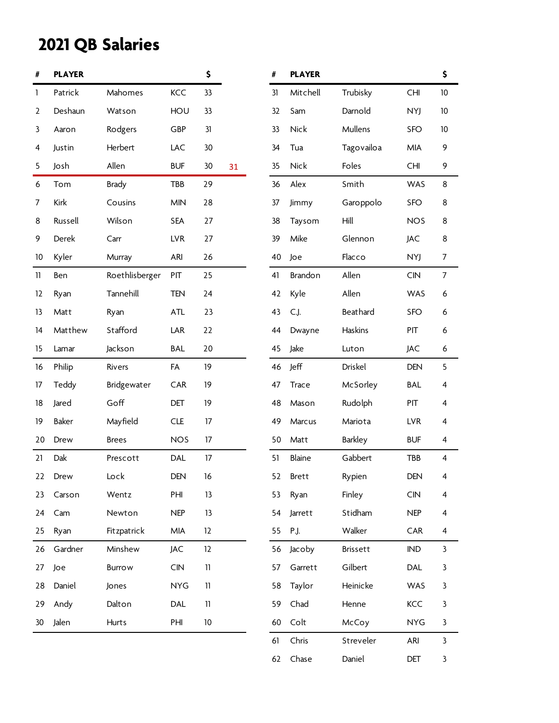| #                | <b>PLAYER</b> |                |                         | \$              |    | #  | <b>PLAYER</b>  |                |            | \$                       |
|------------------|---------------|----------------|-------------------------|-----------------|----|----|----------------|----------------|------------|--------------------------|
| 1                | Patrick       | Mahomes        | KCC                     | 33              |    | 31 | Mitchell       | Trubisky       | CHI        | 10                       |
| $\overline{2}$   | Deshaun       | Watson         | HOU                     | 33              |    | 32 | Sam            | Darnold        | NYJ        | $10$                     |
| 3                | Aaron         | Rodgers        | GBP                     | 31              |    | 33 | Nick           | Mullens        | SFO        | $10$                     |
| 4                | Justin        | Herbert        | LAC                     | 30              |    | 34 | Tua            | Tagovailoa     | MIA        | 9                        |
| 5                | Josh          | Allen          | <b>BUF</b>              | 30 <sup>°</sup> | 31 | 35 | <b>Nick</b>    | Foles          | <b>CHI</b> | 9                        |
| $\boldsymbol{6}$ | Tom           | <b>Brady</b>   | TBB                     | 29              |    | 36 | Alex           | Smith          | WAS        | 8                        |
| 7                | Kirk          | Cousins        | <b>MIN</b>              | 28              |    | 37 | Jimmy          | Garoppolo      | SFO        | 8                        |
| 8                | Russell       | Wilson         | <b>SEA</b>              | 27              |    | 38 | Taysom         | Hill           | <b>NOS</b> | 8                        |
| 9                | Derek         | Carr           | <b>LVR</b>              | 27              |    | 39 | Mike           | Glennon        | <b>JAC</b> | 8                        |
| 10               | Kyler         | Murray         | ARI                     | 26              |    | 40 | Joe            | Flacco         | NYJ        | $\overline{7}$           |
| 11               | Ben           | Roethlisberger | PIT                     | 25              |    | 41 | <b>Brandon</b> | Allen          | <b>CIN</b> | $\overline{7}$           |
| 12               | Ryan          | Tannehill      | <b>TEN</b>              | 24              |    | 42 | Kyle           | Allen          | WAS        | $\boldsymbol{6}$         |
| 13               | Matt          | Ryan           | <b>ATL</b>              | 23              |    | 43 | C.J.           | Beathard       | SFO        | $\boldsymbol{6}$         |
| 14               | Matthew       | Stafford       | LAR                     | 22              |    | 44 | Dwayne         | Haskins        | PIT        | 6                        |
| 15               | Lamar         | Jackson        | <b>BAL</b>              | 20              |    | 45 | Jake           | Luton          | JAC        | $\boldsymbol{6}$         |
| 16               | Philip        | Rivers         | FA                      | 19              |    | 46 | Jeff           | Driskel        | <b>DEN</b> | 5                        |
| 17               | Teddy         | Bridgewater    | CAR                     | 19              |    | 47 | <b>Trace</b>   | McSorley       | BAL        | 4                        |
| 18               | Jared         | Goff           | DET                     | 19              |    | 48 | Mason          | Rudolph        | PIT        | $\overline{\mathbf{4}}$  |
| 19               | Baker         | Mayfield       | CLE                     | 17              |    | 49 | Marcus         | Mariota        | <b>LVR</b> | 4                        |
| 20               | Drew          | <b>Brees</b>   | <b>NOS</b>              | 17              |    | 50 | Matt           | <b>Barkley</b> | <b>BUF</b> | $\overline{4}$           |
| 21               | Dak           | Prescott       | DAL                     | 17              |    | 51 | Blaine         | Gabbert        | TBB        | $\overline{4}$           |
| 22               | Drew          | Lock           | DEN                     | 16              |    | 52 | <b>Brett</b>   | Rypien         | DEN        | 4                        |
| 23               | Carson        | Wentz          | PHI                     | 13              |    | 53 | Ryan           | Finley         | <b>CIN</b> | 4                        |
| 24               | Cam           | Newton         | <b>NEP</b>              | 13              |    | 54 | Jarrett        | Stidham        | <b>NEP</b> | 4                        |
| 25               | Ryan          | Fitzpatrick    | MIA                     | 12              |    | 55 | P.J.           | Walker         | CAR        | $\overline{\mathcal{A}}$ |
| 26               | Gardner       | Minshew        | JAC                     | 12              |    | 56 | Jacoby         | Brissett       | <b>IND</b> | $\mathbf{3}$             |
| 27               | Joe           | <b>Burrow</b>  | $\mathsf{C}\mathsf{IN}$ | $\mathbf{11}$   |    | 57 | Garrett        | Gilbert        | DAL        | 3                        |
| 28               | Daniel        | Jones          | <b>NYG</b>              | 11              |    | 58 | Taylor         | Heinicke       | WAS        | 3                        |
| 29               | Andy          | Dalton         | DAL                     | $11\,$          |    | 59 | Chad           | Henne          | KCC        | 3                        |
| 30               | Jalen         | Hurts          | PHI                     | $10\,$          |    | 60 | Colt           | McCoy          | <b>NYG</b> | 3                        |
|                  |               |                |                         |                 |    | 61 | Chris          | Streveler      | ARI        | $\mathbf{3}$             |
|                  |               |                |                         |                 |    | 62 | Chase          | Daniel         | DET        | $\mathbf{3}$             |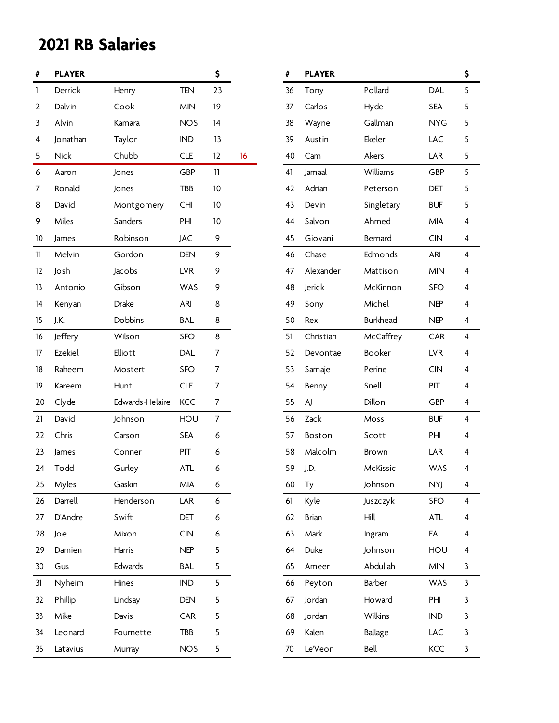| #            | <b>PLAYER</b> |                 |            | \$             |    | #  | <b>PLAYER</b> |                 |            | \$ |
|--------------|---------------|-----------------|------------|----------------|----|----|---------------|-----------------|------------|----|
| $\mathbf{1}$ | Derrick       | Henry           | <b>TEN</b> | 23             |    | 36 | Tony          | Pollard         | DAL        | 5  |
| 2            | Dalvin        | Cook            | <b>MIN</b> | 19             |    | 37 | Carlos        | Hyde            | <b>SEA</b> | 5  |
| 3            | Alvin         | Kamara          | <b>NOS</b> | 14             |    | 38 | Wayne         | Gallman         | <b>NYG</b> | 5  |
| 4            | Jonathan      | Taylor          | <b>IND</b> | 13             |    | 39 | Austin        | Ekeler          | LAC        | 5  |
| 5            | <b>Nick</b>   | Chubb           | <b>CLE</b> | 12             | 16 | 40 | Cam           | Akers           | LAR        | 5  |
| 6            | Aaron         | Jones           | GBP        | 11             |    | 41 | Jamaal        | Williams        | GBP        | 5  |
| 7            | Ronald        | Jones           | TBB        | $10$           |    | 42 | Adrian        | Peterson        | DET        | 5  |
| 8            | David         | Montgomery      | <b>CHI</b> | 10             |    | 43 | Devin         | Singletary      | <b>BUF</b> | 5  |
| 9            | Miles         | Sanders         | PHI        | $10$           |    | 44 | Salvon        | Ahmed           | MIA        | 4  |
| 10           | James         | Robinson        | <b>JAC</b> | 9              |    | 45 | Giovani       | Bernard         | CIN        | 4  |
| 11           | Melvin        | Gordon          | <b>DEN</b> | 9              |    | 46 | Chase         | Edmonds         | ARI        | 4  |
| 12           | Josh          | Jacobs          | <b>LVR</b> | 9              |    | 47 | Alexander     | Mattison        | <b>MIN</b> | 4  |
| 13           | Antonio       | Gibson          | WAS        | 9              |    | 48 | Jerick        | McKinnon        | SFO        | 4  |
| 14           | Kenyan        | Drake           | ARI        | 8              |    | 49 | Sony          | Michel          | <b>NEP</b> | 4  |
| 15           | J.K.          | Dobbins         | <b>BAL</b> | 8              |    | 50 | Rex           | <b>Burkhead</b> | <b>NEP</b> | 4  |
| 16           | Jeffery       | Wilson          | SFO        | $\bf 8$        |    | 51 | Christian     | McCaffrey       | CAR        | 4  |
| 17           | Ezekiel       | Elliott         | DAL        | 7              |    | 52 | Devontae      | Booker          | <b>LVR</b> | 4  |
| 18           | Raheem        | Mostert         | <b>SFO</b> | 7              |    | 53 | Samaje        | Perine          | CIN        | 4  |
| 19           | Kareem        | Hunt            | <b>CLE</b> | $\overline{7}$ |    | 54 | Benny         | Snell           | PIT        | 4  |
| 20           | Clyde         | Edwards-Helaire | KCC        | 7              |    | 55 | AJ            | Dillon          | GBP        | 4  |
| 21           | David         | Johnson         | HOU        | $\overline{7}$ |    | 56 | Zack          | Moss            | <b>BUF</b> | 4  |
| 22           | Chris         | Carson          | <b>SEA</b> | 6              |    | 57 | Boston        | Scott           | PHI        | 4  |
| 23           | James         | Conner          | PIT        | 6              |    | 58 | Malcolm       | <b>Brown</b>    | LAR        | 4  |
| 24           | Todd          | Gurley          | ATL        | 6              |    | 59 | J.D.          | McKissic        | WAS        | 4  |
| 25           | Myles         | Gaskin          | MIA        | 6              |    | 60 | Ty            | Johnson         | <b>NYJ</b> | 4  |
| 26           | Darrell       | Henderson       | LAR        | 6              |    | 61 | Kyle          | Juszczyk        | <b>SFO</b> | 4  |
| 27           | D'Andre       | Swift           | DET        | 6              |    | 62 | Brian         | Hill            | ATL        | 4  |
| 28           | Joe           | Mixon           | CIN        | 6              |    | 63 | Mark          | Ingram          | FA         | 4  |
| 29           | Damien        | Harris          | <b>NEP</b> | 5              |    | 64 | Duke          | Johnson         | HOU        | 4  |
| 30           | Gus           | Edwards         | <b>BAL</b> | 5              |    | 65 | Ameer         | Abdullah        | MIN        | 3  |
| 31           | Nyheim        | Hines           | IND        | 5              |    | 66 | Peyton        | Barber          | WAS        | 3  |
| 32           | Phillip       | Lindsay         | DEN        | 5              |    | 67 | Jordan        | Howard          | PHI        | 3  |
| 33           | Mike          | Davis           | CAR        | 5              |    | 68 | Jordan        | Wilkins         | IND        | 3  |
| 34           | Leonard       | Fournette       | TBB        | 5              |    | 69 | Kalen         | <b>Ballage</b>  | LAC        | 3  |
| 35           | Latavius      | Murray          | <b>NOS</b> | 5              |    | 70 | Le'Veon       | Bell            | KCC        | 3  |

| #  | <b>PLAYER</b> |                 |            | \$ |
|----|---------------|-----------------|------------|----|
| 36 | Tony          | Pollard         | DAL        | 5  |
| 37 | Carlos        | Hyde            | <b>SEA</b> | 5  |
| 38 | Wayne         | Gallman         | <b>NYG</b> | 5  |
| 39 | Austin        | Ekeler          | LAC        | 5  |
| 40 | Cam           | Akers           | LAR        | 5  |
| 41 | Jamaal        | Williams        | <b>GBP</b> | 5  |
| 42 | Adrian        | Peterson        | DET        | 5  |
| 43 | Devin         | Singletary      | <b>BUF</b> | 5  |
| 44 | Salvon        | Ahmed           | <b>MIA</b> | 4  |
| 45 | Giovani       | Bernard         | <b>CIN</b> | 4  |
| 46 | Chase         | Edmonds         | ARI        | 4  |
| 47 | Alexander     | Mattison        | <b>MIN</b> | 4  |
| 48 | Jerick        | McKinnon        | <b>SFO</b> | 4  |
| 49 | Sony          | Michel          | <b>NEP</b> | 4  |
| 50 | Rex           | <b>Burkhead</b> | <b>NEP</b> | 4  |
| 51 | Christian     | McCaffrey       | CAR        | 4  |
| 52 | Devontae      | Booker          | LVR        | 4  |
| 53 | Samaje        | Perine          | <b>CIN</b> | 4  |
| 54 | Benny         | Snell           | PIT        | 4  |
| 55 | AJ            | Dillon          | GBP        | 4  |
| 56 | Zack          | Moss            | <b>BUF</b> | 4  |
| 57 | Boston        | Scott           | PHI        | 4  |
| 58 | Malcolm       | <b>Brown</b>    | LAR        | 4  |
| 59 | J.D.          | <b>McKissic</b> | <b>WAS</b> | 4  |
| 60 | Тy            | Johnson         | <b>NYJ</b> | 4  |
| 61 | Kyle          | Juszczyk        | <b>SFO</b> | 4  |
| 62 | <b>Brian</b>  | Hill            | <b>ATL</b> | 4  |
| 63 | Mark          | Ingram          | FA         | 4  |
| 64 | Duke          | Johnson         | HOU        | 4  |
| 65 | Ameer         | Abdullah        | <b>MIN</b> | 3  |
| 66 | Peyton        | Barber          | <b>WAS</b> | 3  |
| 67 | Jordan        | Howard          | PHI        | 3  |
| 68 | Jordan        | Wilkins         | <b>IND</b> | 3  |
| 69 | Kalen         | <b>Ballage</b>  | LAC        | 3  |
| 70 | Le'Veon       | Bell            | KCC        | 3  |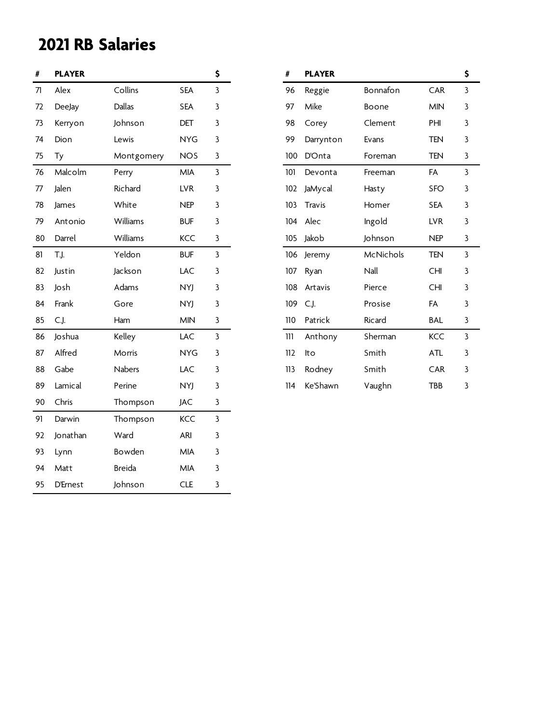| #  | <b>PLAYER</b>   |               |            | \$             | #   | <b>PLAYER</b> |           |            | \$ |
|----|-----------------|---------------|------------|----------------|-----|---------------|-----------|------------|----|
| 71 | Alex            | Collins       | <b>SEA</b> | $\mathbf{3}$   | 96  | Reggie        | Bonnafon  | CAR        | 3  |
| 72 | DeeJay          | Dallas        | <b>SEA</b> | 3              | 97  | Mike          | Boone     | <b>MIN</b> | 3  |
| 73 | Kerryon         | Johnson       | DET        | 3              | 98  | Corey         | Clement   | PHI        | 3  |
| 74 | Dion            | Lewis         | <b>NYG</b> | $\mathbf{3}$   | 99  | Darrynton     | Evans     | <b>TEN</b> | 3  |
| 75 | Ty              | Montgomery    | <b>NOS</b> | $\mathbf{3}$   | 100 | D'Onta        | Foreman   | <b>TEN</b> | 3  |
| 76 | Malcolm         | Perry         | MIA        | $\mathbf{3}$   | 101 | Devonta       | Freeman   | FA         | 3  |
| 77 | Jalen           | Richard       | <b>LVR</b> | $\mathbf{3}$   | 102 | JaMycal       | Hasty     | <b>SFO</b> | 3  |
| 78 | James           | White         | <b>NEP</b> | $\mathbf{3}$   | 103 | Travis        | Homer     | <b>SEA</b> | 3  |
| 79 | Antonio         | Williams      | <b>BUF</b> | $\mathbf{3}$   | 104 | Alec          | Ingold    | <b>LVR</b> | 3  |
| 80 | Darrel          | Williams      | KCC        | $\mathbf{3}$   | 105 | Jakob         | Johnson   | <b>NEP</b> | 3  |
| 81 | T.J.            | Yeldon        | <b>BUF</b> | $\mathbf{3}$   | 106 | Jeremy        | McNichols | <b>TEN</b> | 3  |
| 82 | Justin          | Jackson       | LAC        | $\mathbf{3}$   | 107 | Ryan          | Nall      | <b>CHI</b> | 3  |
| 83 | Josh            | Adams         | <b>NYJ</b> | $\mathbf{3}$   | 108 | Artavis       | Pierce    | <b>CHI</b> | 3  |
| 84 | Frank           | Gore          | <b>NYJ</b> | $\mathbf{3}$   | 109 | C.J.          | Prosise   | FA         | 3  |
| 85 | C.J.            | Ham           | <b>MIN</b> | $\mathbf{3}$   | 110 | Patrick       | Ricard    | <b>BAL</b> | 3  |
| 86 | Joshua          | Kelley        | LAC        | $\mathbf{3}$   | 111 | Anthony       | Sherman   | KCC        | 3  |
| 87 | Alfred          | Morris        | <b>NYG</b> | $\mathbf{3}$   | 112 | lto           | Smith     | ATL        | 3  |
| 88 | Gabe            | <b>Nabers</b> | LAC        | $\mathbf{3}$   | 113 | Rodney        | Smith     | CAR        | 3  |
| 89 | Lamical         | Perine        | <b>NYJ</b> | 3              | 114 | Ke'Shawn      | Vaughn    | TBB        | 3  |
| 90 | Chris           | Thompson      | <b>JAC</b> | $\mathbf{3}$   |     |               |           |            |    |
| 91 | Darwin          | Thompson      | KCC        | $\overline{3}$ |     |               |           |            |    |
| 92 | Jonathan        | Ward          | ARI        | $\mathbf{3}$   |     |               |           |            |    |
| 93 | Lynn            | Bowden        | <b>MIA</b> | $\mathbf{3}$   |     |               |           |            |    |
| 94 | Matt            | <b>Breida</b> | MIA        | $\mathbf{3}$   |     |               |           |            |    |
| 95 | <b>D'Ernest</b> | Johnson       | <b>CLE</b> | 3              |     |               |           |            |    |

| #   | <b>PLAYER</b> |           |            | \$ |
|-----|---------------|-----------|------------|----|
| 96  | Reggie        | Bonnafon  | <b>CAR</b> | 3  |
| 97  | Mike          | Boone     | <b>MIN</b> | 3  |
| 98  | Corey         | Clement   | PHI        | 3  |
| 99  | Darrynton     | Evans     | <b>TEN</b> | 3  |
| 100 | D'Onta        | Foreman   | TEN        | 3  |
| 101 | Devonta       | Freeman   | FA         | 3  |
| 102 | JaMycal       | Hasty     | <b>SFO</b> | 3  |
| 103 | <b>Travis</b> | Homer     | <b>SEA</b> | 3  |
| 104 | Alec          | Ingold    | <b>LVR</b> | 3  |
| 105 | Jakob         | Johnson   | <b>NEP</b> | 3  |
| 106 | Jeremy        | McNichols | <b>TEN</b> | 3  |
| 107 | Ryan          | Nall      | <b>CHI</b> | 3  |
| 108 | Artavis       | Pierce    | <b>CHI</b> | 3  |
| 109 | C.J.          | Prosise   | FA         | 3  |
| 110 | Patrick       | Ricard    | BAL        | 3  |
| 111 | Anthony       | Sherman   | <b>KCC</b> | 3  |
| 112 | lto           | Smith     | <b>ATL</b> | 3  |
| 113 | Rodney        | Smith     | <b>CAR</b> | 3  |
| 114 | Ke'Shawn      | Vaughn    | TBB        | 3  |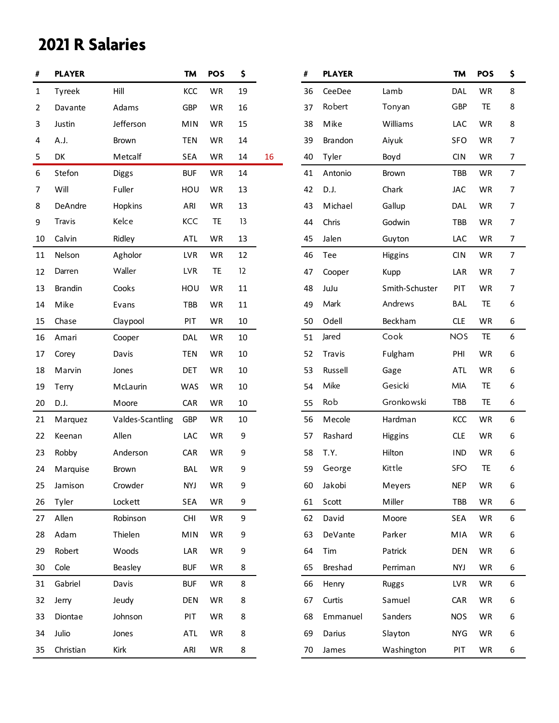## **2021 R Salaries**

| #            | <b>PLAYER</b>  |                  | <b>TM</b>  | <b>POS</b> | \$ |    | #  | <b>PLAYER</b> |                | TM         | <b>POS</b> | \$ |
|--------------|----------------|------------------|------------|------------|----|----|----|---------------|----------------|------------|------------|----|
| $\mathbf{1}$ | Tyreek         | Hill             | KCC        | WR         | 19 |    | 36 | CeeDee        | Lamb           | DAL        | WR         | 8  |
| 2            | Davante        | Adams            | <b>GBP</b> | WR         | 16 |    | 37 | Robert        | Tonyan         | GBP        | TE         | 8  |
| 3            | Justin         | Jefferson        | <b>MIN</b> | WR         | 15 |    | 38 | Mike          | Williams       | LAC        | WR         | 8  |
| 4            | A.J.           | <b>Brown</b>     | <b>TEN</b> | WR         | 14 |    | 39 | Brandon       | Aiyuk          | <b>SFO</b> | WR         | 7  |
| 5            | DK             | Metcalf          | <b>SEA</b> | WR         | 14 | 16 | 40 | Tyler         | Boyd           | <b>CIN</b> | WR         | 7  |
| 6            | Stefon         | <b>Diggs</b>     | <b>BUF</b> | WR         | 14 |    | 41 | Antonio       | Brown          | TBB        | WR         | 7  |
| 7            | Will           | Fuller           | HOU        | WR         | 13 |    | 42 | D.J.          | Chark          | <b>JAC</b> | WR         | 7  |
| 8            | DeAndre        | Hopkins          | ARI        | WR         | 13 |    | 43 | Michael       | Gallup         | DAL        | WR         | 7  |
| 9            | <b>Travis</b>  | Kelce            | <b>KCC</b> | TE         | 13 |    | 44 | Chris         | Godwin         | TBB        | WR         | 7  |
| 10           | Calvin         | Ridley           | ATL        | WR         | 13 |    | 45 | Jalen         | Guyton         | LAC        | WR         | 7  |
| 11           | Nelson         | Agholor          | <b>LVR</b> | <b>WR</b>  | 12 |    | 46 | Tee           | <b>Higgins</b> | <b>CIN</b> | WR         | 7  |
| 12           | Darren         | Waller           | <b>LVR</b> | TE         | 12 |    | 47 | Cooper        | Kupp           | LAR        | WR         | 7  |
| 13           | <b>Brandin</b> | Cooks            | HOU        | WR         | 11 |    | 48 | JuJu          | Smith-Schuster | PIT        | WR         | 7  |
| 14           | Mike           | Evans            | TBB        | WR         | 11 |    | 49 | Mark          | Andrews        | <b>BAL</b> | TE         | 6  |
| 15           | Chase          | Claypool         | PIT        | WR         | 10 |    | 50 | Odell         | Beckham        | <b>CLE</b> | <b>WR</b>  | 6  |
| 16           | Amari          | Cooper           | DAL        | WR         | 10 |    | 51 | Jared         | Cook           | <b>NOS</b> | TE         | 6  |
| 17           | Corey          | Davis            | <b>TEN</b> | WR         | 10 |    | 52 | Travis        | Fulgham        | PHI        | WR         | 6  |
| 18           | Marvin         | Jones            | <b>DET</b> | WR         | 10 |    | 53 | Russell       | Gage           | <b>ATL</b> | WR         | 6  |
| 19           | Terry          | McLaurin         | WAS        | WR         | 10 |    | 54 | Mike          | Gesicki        | <b>MIA</b> | TE         | 6  |
| 20           | D.J.           | Moore            | CAR        | WR         | 10 |    | 55 | Rob           | Gronkowski     | TBB        | TE         | 6  |
| 21           | Marquez        | Valdes-Scantling | <b>GBP</b> | WR         | 10 |    | 56 | Mecole        | Hardman        | KCC        | WR         | 6  |
| 22           | Keenan         | Allen            | LAC        | WR         | 9  |    | 57 | Rashard       | Higgins        | <b>CLE</b> | WR         | 6  |
| 23           | Robby          | Anderson         | CAR        | WR         | 9  |    | 58 | T.Y.          | Hilton         | <b>IND</b> | WR         | 6  |
| 24           | Marquise       | Brown            | <b>BAL</b> | WR         | 9  |    | 59 | George        | Kittle         | <b>SFO</b> | TE         | 6  |
| 25           | Jamison        | Crowder          | <b>NYJ</b> | WR         | 9  |    | 60 | Jakobi        | Meyers         | <b>NEP</b> | WR         | 6  |
| 26           | Tyler          | Lockett          | SEA        | WR         | 9  |    | 61 | Scott         | Miller         | TBB        | WR         | 6  |
| 27           | Allen          | Robinson         | <b>CHI</b> | WR         | 9  |    | 62 | David         | Moore          | <b>SEA</b> | WR         | 6  |
| 28           | Adam           | Thielen          | <b>MIN</b> | WR         | 9  |    | 63 | DeVante       | Parker         | MIA        | WR         | 6  |
| 29           | Robert         | Woods            | LAR        | WR         | 9  |    | 64 | Tim           | Patrick        | <b>DEN</b> | WR         | 6  |
| 30           | Cole           | Beasley          | <b>BUF</b> | WR         | 8  |    | 65 | Breshad       | Perriman       | <b>NYJ</b> | WR         | 6  |
| 31           | Gabriel        | Davis            | <b>BUF</b> | WR         | 8  |    | 66 | Henry         | <b>Ruggs</b>   | <b>LVR</b> | WR         | 6  |
| 32           | Jerry          | Jeudy            | <b>DEN</b> | <b>WR</b>  | 8  |    | 67 | Curtis        | Samuel         | CAR        | WR         | 6  |
| 33           | Diontae        | Johnson          | PIT        | WR         | 8  |    | 68 | Emmanuel      | Sanders        | <b>NOS</b> | WR         | 6  |
| 34           | Julio          | Jones            | <b>ATL</b> | WR         | 8  |    | 69 | Darius        | Slayton        | <b>NYG</b> | WR         | 6  |
| 35           | Christian      | Kirk             | ARI        | WR         | 8  |    | 70 | James         | Washington     | PIT        | WR         | 6  |

| #  | <b>PLAYER</b>  |                | <b>TM</b>  | <b>POS</b> | \$ |
|----|----------------|----------------|------------|------------|----|
| 36 | CeeDee         | Lamb           | DAL        | <b>WR</b>  | 8  |
| 37 | Robert         | Tonyan         | GBP        | TE         | 8  |
| 38 | Mike           | Williams       | LAC        | WR         | 8  |
| 39 | <b>Brandon</b> | Aiyuk          | SFO        | WR         | 7  |
| 40 | Tyler          | Boyd           | <b>CIN</b> | WR         | 7  |
| 41 | Antonio        | <b>Brown</b>   | TBB        | WR         | 7  |
| 42 | D.J.           | Chark          | <b>JAC</b> | WR         | 7  |
| 43 | Michael        | Gallup         | DAL        | WR         | 7  |
| 44 | Chris          | Godwin         | TBB        | WR         | 7  |
| 45 | Jalen          | Guyton         | LAC        | WR         | 7  |
| 46 | Tee            | Higgins        | <b>CIN</b> | WR         | 7  |
| 47 | Cooper         | Kupp           | LAR        | WR         | 7  |
| 48 | JuJu           | Smith-Schuster | PIT        | <b>WR</b>  | 7  |
| 49 | Mark           | Andrews        | <b>BAL</b> | TE         | 6  |
| 50 | Odell          | Beckham        | <b>CLE</b> | <b>WR</b>  | 6  |
| 51 | Jared          | Cook           | <b>NOS</b> | TE         | 6  |
| 52 | Travis         | Fulgham        | PHI        | WR         | 6  |
| 53 | Russell        | Gage           | <b>ATL</b> | <b>WR</b>  | 6  |
| 54 | Mike           | Gesicki        | MIA        | TE         | 6  |
| 55 | Rob            | Gronkowski     | TBB        | TE         | 6  |
| 56 | Mecole         | Hardman        | KCC        | WR         | 6  |
| 57 | Rashard        | Higgins        | <b>CLE</b> | WR         | 6  |
| 58 | T.Y.           | Hilton         | <b>IND</b> | WR         | 6  |
| 59 | George         | Kittle         | SFO        | TE         | 6  |
| 60 | Jakobi         | Meyers         | <b>NEP</b> | WR         | 6  |
| 61 | Scott          | Miller         | TBB        | WR         | 6  |
| 62 | David          | Moore          | SEA        | WR         | 6  |
| 63 | DeVante        | Parker         | MIA        | <b>WR</b>  | 6  |
| 64 | Tim            | Patrick        | <b>DEN</b> | WR         | 6  |
| 65 | Breshad        | Perriman       | <b>NYJ</b> | <b>WR</b>  | 6  |
| 66 | Henry          | <b>Ruggs</b>   | <b>LVR</b> | WR         | 6  |
| 67 | Curtis         | Samuel         | CAR        | <b>WR</b>  | 6  |
| 68 | Emmanuel       | Sanders        | <b>NOS</b> | WR         | 6  |
| 69 | Darius         | Slayton        | <b>NYG</b> | WR         | 6  |
| 70 | James          | Washington     | PIT        | WR         | 6  |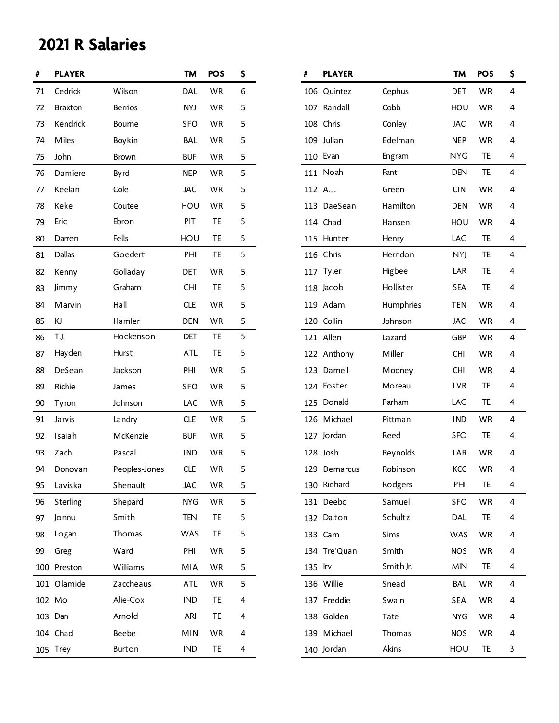# **2021 R Salaries**

| #      | <b>PLAYER</b>  |                | <b>TM</b>  | <b>POS</b> | \$ | #        | <b>PLAYER</b> |           | TM         | <b>POS</b> | \$ |
|--------|----------------|----------------|------------|------------|----|----------|---------------|-----------|------------|------------|----|
| 71     | Cedrick        | Wilson         | DAL        | WR         | 6  |          | 106 Quintez   | Cephus    | DET        | WR         | 4  |
| 72     | <b>Braxton</b> | <b>Berrios</b> | <b>NYJ</b> | WR         | 5  |          | 107 Randall   | Cobb      | HOU        | WR         | 4  |
| 73     | Kendrick       | <b>Bourne</b>  | <b>SFO</b> | WR         | 5  |          | 108 Chris     | Conley    | <b>JAC</b> | WR         | 4  |
| 74     | Miles          | Boykin         | <b>BAL</b> | WR         | 5  |          | 109 Julian    | Edelman   | <b>NEP</b> | WR         | 4  |
| 75     | John           | Brown          | <b>BUF</b> | WR         | 5  |          | 110 Evan      | Engram    | <b>NYG</b> | <b>TE</b>  | 4  |
| 76     | Damiere        | Byrd           | <b>NEP</b> | WR         | 5  |          | 111 Noah      | Fant      | <b>DEN</b> | TE         | 4  |
| 77     | Keelan         | Cole           | <b>JAC</b> | WR         | 5  | 112 A.J. |               | Green     | <b>CIN</b> | WR         | 4  |
| 78     | Keke           | Coutee         | HOU        | WR         | 5  |          | 113 DaeSean   | Hamilton  | <b>DEN</b> | WR         | 4  |
| 79     | Eric           | Ebron          | PIT        | TE         | 5  |          | 114 Chad      | Hansen    | HOU        | WR         | 4  |
| 80     | Darren         | Fells          | HOU        | TE         | 5  |          | 115 Hunter    | Henry     | LAC        | <b>TE</b>  | 4  |
| 81     | Dallas         | Goedert        | PHI        | TE         | 5  |          | 116 Chris     | Herndon   | NYJ        | TE         | 4  |
| 82     | Kenny          | Golladay       | <b>DET</b> | WR         | 5  |          | 117 Tyler     | Higbee    | LAR        | TE         | 4  |
| 83     | Jimmy          | Graham         | <b>CHI</b> | TE         | 5  |          | 118 Jacob     | Hollister | <b>SEA</b> | TE         | 4  |
| 84     | Marvin         | Hall           | <b>CLE</b> | WR         | 5  |          | 119 Adam      | Humphries | <b>TEN</b> | WR         | 4  |
| 85     | KJ             | Hamler         | <b>DEN</b> | WR         | 5  |          | 120 Collin    | Johnson   | JAC        | WR         | 4  |
| 86     | T.J.           | Hockenson      | DET        | TE         | 5  |          | 121 Allen     | Lazard    | <b>GBP</b> | WR         | 4  |
| 87     | Hayden         | Hurst          | <b>ATL</b> | TE         | 5  |          | 122 Anthony   | Miller    | <b>CHI</b> | WR         | 4  |
| 88     | DeSean         | Jackson        | PHI        | WR         | 5  |          | 123 Darnell   | Mooney    | <b>CHI</b> | WR         | 4  |
| 89     | Richie         | James          | <b>SFO</b> | WR         | 5  |          | 124 Foster    | Moreau    | <b>LVR</b> | TE         | 4  |
| 90     | Tyron          | Johnson        | LAC        | WR         | 5  |          | 125 Donald    | Parham    | LAC        | TE         | 4  |
| 91     | Jarvis         | Landry         | <b>CLE</b> | WR         | 5  |          | 126 Michael   | Pittman   | <b>IND</b> | WR         | 4  |
| 92     | Isaiah         | McKenzie       | <b>BUF</b> | WR         | 5  |          | 127 Jordan    | Reed      | SFO        | TE         | 4  |
| 93     | Zach           | Pascal         | <b>IND</b> | WR         | 5  |          | 128 Josh      | Reynolds  | LAR        | WR         | 4  |
| 94     | Donovan        | Peoples-Jones  | <b>CLE</b> | WR         | 5  |          | 129 Demarcus  | Robinson  | KCC        | <b>WR</b>  | 4  |
| 95     | Laviska        | Shenault       | <b>JAC</b> | WR         | 5  |          | 130 Richard   | Rodgers   | PHI        | TE         | 4  |
| 96     | Sterling       | Shepard        | <b>NYG</b> | WR         | 5  |          | 131 Deebo     | Samuel    | SFO        | WR         | 4  |
| 97     | Jonnu          | Smith          | <b>TEN</b> | TE         | 5  |          | 132 Dalton    | Schultz   | DAL        | TE         | 4  |
| 98     | Logan          | Thomas         | WAS        | TE         | 5  |          | 133 Cam       | Sims      | <b>WAS</b> | WR         | 4  |
| 99     | Greg           | Ward           | PHI        | WR         | 5  |          | 134 Tre'Quan  | Smith     | <b>NOS</b> | WR         | 4  |
|        | 100 Preston    | Williams       | MIA        | WR         | 5  | 135 Irv  |               | Smith Jr. | <b>MIN</b> | <b>TE</b>  | 4  |
|        | 101 Olamide    | Zaccheaus      | <b>ATL</b> | WR         | 5  |          | 136 Willie    | Snead     | <b>BAL</b> | WR         | 4  |
| 102 Mo |                | Alie-Cox       | <b>IND</b> | TE         | 4  |          | 137 Freddie   | Swain     | <b>SEA</b> | WR         | 4  |
|        | 103 Dan        | Arnold         | ARI        | TE         | 4  |          | 138 Golden    | Tate      | <b>NYG</b> | WR         | 4  |
|        | 104 Chad       | Beebe          | <b>MIN</b> | WR         | 4  |          | 139 Michael   | Thomas    | <b>NOS</b> | WR         | 4  |
|        | 105 Trey       | Burton         | <b>IND</b> | TE         | 4  |          | 140 Jordan    | Akins     | HOU        | <b>TE</b>  | 3  |

| #       | <b>PLAYER</b> |           | TM         | <b>POS</b> | \$ |
|---------|---------------|-----------|------------|------------|----|
|         | 106 Quintez   | Cephus    | DET        | <b>WR</b>  | 4  |
| 107     | Randall       | Cobb      | HOU        | <b>WR</b>  | 4  |
|         | 108 Chris     | Conley    | <b>JAC</b> | <b>WR</b>  | 4  |
|         | 109 Julian    | Edelman   | <b>NEP</b> | <b>WR</b>  | 4  |
|         | 110 Evan      | Engram    | NYG        | <b>TE</b>  | 4  |
|         | 111 Noah      | Fant      | <b>DEN</b> | <b>TE</b>  | 4  |
|         | 112 A.J.      | Green     | <b>CIN</b> | <b>WR</b>  | 4  |
|         | 113 DaeSean   | Hamilton  | <b>DEN</b> | <b>WR</b>  | 4  |
|         | 114 Chad      | Hansen    | HOU        | <b>WR</b>  | 4  |
|         | 115 Hunter    | Henry     | LAC        | <b>TE</b>  | 4  |
|         | 116 Chris     | Herndon   | <b>NYJ</b> | <b>TE</b>  | 4  |
|         | 117 Tyler     | Higbee    | LAR        | <b>TE</b>  | 4  |
|         | 118 Jacob     | Hollister | <b>SEA</b> | <b>TE</b>  | 4  |
|         | 119 Adam      | Humphries | <b>TEN</b> | <b>WR</b>  | 4  |
|         | 120 Collin    | Johnson   | <b>JAC</b> | WR         | 4  |
|         | 121 Allen     | Lazard    | <b>GBP</b> | <b>WR</b>  | 4  |
|         | 122 Anthony   | Miller    | CHI.       | <b>WR</b>  | 4  |
| 123     | Darnell       | Mooney    | CHI.       | <b>WR</b>  | 4  |
|         | 124 Foster    | Moreau    | <b>LVR</b> | <b>TE</b>  | 4  |
|         | 125 Donald    | Parham    | LAC        | <b>TE</b>  | 4  |
|         | 126 Michael   | Pittman   | <b>IND</b> | <b>WR</b>  | 4  |
|         | 127 Jordan    | Reed      | SFO.       | <b>TE</b>  | 4  |
|         | 128 Josh      | Reynolds  | LAR        | WR.        | 4  |
|         | 129 Demarcus  | Robinson  | KCC        | <b>WR</b>  | 4  |
|         | 130 Richard   | Rodgers   | PHI        | TE         | 4  |
|         | 131 Deebo     | Samuel    | <b>SFO</b> | WR         | 4  |
|         | 132 Dalton    | Schultz   | <b>DAL</b> | <b>TE</b>  | 4  |
|         | 133 Cam       | Sims      | WAS        | <b>WR</b>  | 4  |
|         | 134 Tre'Quan  | Smith     | <b>NOS</b> | WR         | 4  |
| 135 Irv |               | Smith Jr. | <b>MIN</b> | <b>TE</b>  | 4  |
|         | 136 Willie    | Snead     | BAL        | WR         | 4  |
|         | 137 Freddie   | Swain     | SEA        | WR         | 4  |
|         | 138 Golden    | Tate      | <b>NYG</b> | WR         | 4  |
|         | 139 Michael   | Thomas    | <b>NOS</b> | WR         | 4  |
|         | 140 Jordan    | Akins     | HOU        | <b>TE</b>  | 3  |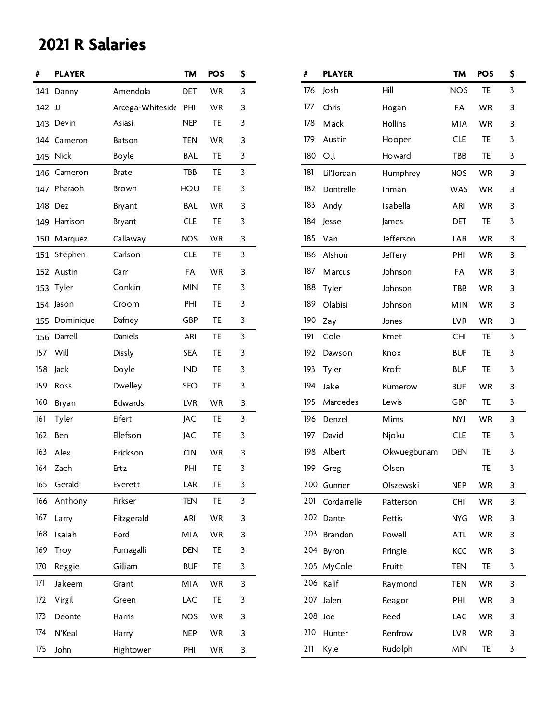# **2021 R Salaries**

| #      | <b>PLAYER</b> |                      | <b>TM</b>  | <b>POS</b> | \$ | #   | <b>PLAYER</b>   |             | <b>TM</b>  | <b>POS</b> | \$ |
|--------|---------------|----------------------|------------|------------|----|-----|-----------------|-------------|------------|------------|----|
|        | 141 Danny     | Amendola             | <b>DET</b> | WR         | 3  | 176 | Josh            | Hill        | <b>NOS</b> | TE         | 3  |
| 142 JJ |               | Arcega-Whiteside PHI |            | WR         | 3  | 177 | Chris           | Hogan       | FA         | WR         | 3  |
|        | 143 Devin     | Asiasi               | <b>NEP</b> | TE         | 3  | 178 | Mack            | Hollins     | MIA        | WR         | 3  |
|        | 144 Cameron   | Batson               | <b>TEN</b> | WR         | 3  | 179 | Austin          | Hooper      | <b>CLE</b> | TE         | 3  |
|        | 145 Nick      | Boyle                | <b>BAL</b> | TE         | 3  | 180 | O.J.            | Howard      | TBB        | TE         | 3  |
|        | 146 Cameron   | <b>Brate</b>         | TBB        | TE         | 3  | 181 | Lil'Jordan      | Humphrey    | <b>NOS</b> | WR         | 3  |
| 147    | Pharaoh       | <b>Brown</b>         | HOU        | TE         | 3  | 182 | Dontrelle       | Inman       | <b>WAS</b> | WR         | 3  |
|        | 148 Dez       | Bryant               | <b>BAL</b> | WR         | 3  | 183 | Andy            | Isabella    | ARI        | WR         | 3  |
| 149    | Harrison      | Bryant               | <b>CLE</b> | TE         | 3  | 184 | Jesse           | James       | DET        | TE         | 3  |
|        | 150 Marquez   | Callaway             | <b>NOS</b> | WR         | 3  | 185 | Van             | Jefferson   | LAR        | WR         | 3  |
|        | 151 Stephen   | Carlson              | <b>CLE</b> | TE         | 3  | 186 | Alshon          | Jeffery     | PHI        | WR         | 3  |
|        | 152 Austin    | Carr                 | FA         | WR         | 3  | 187 | Marcus          | Johnson     | FA         | WR         | 3  |
|        | 153 Tyler     | Conklin              | <b>MIN</b> | TE         | 3  | 188 | Tyler           | Johnson     | TBB        | WR         | 3  |
|        | 154 Jason     | Croom                | PHI        | TE         | 3  | 189 | Olabisi         | Johnson     | <b>MIN</b> | WR         | 3  |
| 155    | Dominique     | Dafney               | GBP        | TE         | 3  | 190 | Zay             | Jones       | <b>LVR</b> | WR         | 3  |
|        | 156 Darrell   | Daniels              | ARI        | TE         | 3  | 191 | Cole            | Kmet        | <b>CHI</b> | TE         | 3  |
| 157    | Will          | Dissly               | <b>SEA</b> | TE         | 3  | 192 | Dawson          | Knox        | <b>BUF</b> | TE         | 3  |
| 158    | Jack          | Doyle                | <b>IND</b> | TE         | 3  | 193 | Tyler           | Kroft       | <b>BUF</b> | TE         | 3  |
| 159    | Ross          | Dwelley              | <b>SFO</b> | TE         | 3  | 194 | Jake            | Kumerow     | <b>BUF</b> | WR         | 3  |
| 160    | Bryan         | Edwards              | <b>LVR</b> | WR         | 3  | 195 | Marcedes        | Lewis       | GBP        | TE         | 3  |
| 161    | Tyler         | Eifert               | JAC        | TE         | 3  | 196 | Denzel          | Mims        | <b>NYJ</b> | <b>WR</b>  | 3  |
| 162    | Ben           | Ellefson             | JAC        | TE         | 3  | 197 | David           | Njoku       | <b>CLE</b> | TE         | 3  |
| 163    | Alex          | Erickson             | <b>CIN</b> | WR         | 3  | 198 | Albert          | Okwuegbunam | <b>DEN</b> | TE         | 3  |
|        | 164 Zach      | Ertz                 | PHI        | TE         | 3  | 199 | Greg            | Olsen       |            | TE         | 3  |
|        | 165 Gerald    | Everett              | LAR        | TE         | 3  |     | 200 Gunner      | Olszewski   | <b>NEP</b> | WR         | 3  |
|        | 166 Anthony   | Firkser              | TEN        | TE         | 3  |     | 201 Cordarrelle | Patterson   | <b>CHI</b> | WR         | 3  |
| 167    | Larry         | Fitzgerald           | ARI        | WR         | 3  |     | 202 Dante       | Pettis      | <b>NYG</b> | WR         | 3  |
| 168    | Isaiah        | Ford                 | MIA        | WR         | 3  |     | 203 Brandon     | Powell      | <b>ATL</b> | WR         | 3  |
| 169    | Troy          | Fumagalli            | DEN        | TE         | 3  |     | 204 Byron       | Pringle     | KCC        | WR         | 3  |
| 170    | Reggie        | Gilliam              | <b>BUF</b> | TE         | 3  |     | 205 MyCole      | Pruitt      | <b>TEN</b> | TE.        | 3  |
| 171    | Jakeem        | Grant                | MIA        | WR         | 3  |     | 206 Kalif       | Raymond     | <b>TEN</b> | WR         | 3  |
| 172    | Virgil        | Green                | LAC        | TE         | 3  |     | 207 Jalen       | Reagor      | PHI        | WR         | 3  |
| 173    | Deonte        | Harris               | <b>NOS</b> | WR         | 3  |     | 208 Joe         | Reed        | LAC        | WR         | 3  |
| 174    | N'Keal        | Harry                | <b>NEP</b> | WR         | 3  | 210 | Hunter          | Renfrow     | LVR        | WR         | 3  |
| 175    | John          | Hightower            | PHI        | WR         | з  | 211 | Kyle            | Rudolph     | <b>MIN</b> | TE         | 3  |

| #   | <b>PLAYER</b> |             | <b>TM</b>  | <b>POS</b> | \$ |
|-----|---------------|-------------|------------|------------|----|
| 176 | Josh          | Hill        | <b>NOS</b> | TE.        | 3  |
| 177 | Chris         | Hogan       | FA         | <b>WR</b>  | 3  |
| 178 | Mack          | Hollins     | MIA        | <b>WR</b>  | 3  |
| 179 | Austin        | Hooper      | <b>CLE</b> | TE         | 3  |
| 180 | O.J.          | Howard      | TBB        | TE         | 3  |
| 181 | Lil'Jordan    | Humphrey    | <b>NOS</b> | <b>WR</b>  | 3  |
| 182 | Dontrelle     | Inman       | WAS        | WR         | 3  |
| 183 | Andy          | Isabella    | ARI        | <b>WR</b>  | 3  |
| 184 | Jesse         | James       | <b>DET</b> | TE         | 3  |
| 185 | Van           | Jefferson   | LAR        | WR         | 3  |
| 186 | Alshon        | Jeffery     | PHI        | <b>WR</b>  | 3  |
| 187 | Marcus        | Johnson     | FA         | WR         | 3  |
| 188 | Tyler         | Johnson     | TBB        | WR         | 3  |
| 189 | Olabisi       | Johnson     | MIN        | WR         | 3  |
| 190 | Zay           | Jones       | LVR        | <b>WR</b>  | 3  |
| 191 | Cole          | Kmet        | <b>CHI</b> | TE.        | 3  |
| 192 | Dawson        | Knox        | <b>BUF</b> | TE         | 3  |
| 193 | Tyler         | Kroft       | <b>BUF</b> | TE         | 3  |
| 194 | Jake          | Kumerow     | <b>BUF</b> | <b>WR</b>  | 3  |
| 195 | Marcedes      | Lewis       | GBP        | <b>TE</b>  | 3  |
| 196 | Denzel        | Mims        | <b>NYJ</b> | <b>WR</b>  | 3  |
| 197 | David         | Njoku       | <b>CLE</b> | TE         | 3  |
| 198 | Albert        | Okwuegbunam | DEN        | TE         | 3  |
| 199 | Greg          | Olsen       |            | TE         | 3  |
| 200 | Gunner        | Olszewski   | <b>NEP</b> | WR         | 3  |
| 201 | Cordarrelle   | Patterson   | <b>CHI</b> | <b>WR</b>  | 3  |
| 202 | Dante         | Pettis      | <b>NYG</b> | WR         | 3  |
| 203 | Brandon       | Powell      | <b>ATL</b> | <b>WR</b>  | 3  |
| 204 | Byron         | Pringle     | KCC        | <b>WR</b>  | 3  |
| 205 | MyCole        | Pruitt      | TEN        | TE         | 3  |
| 206 | Kalif         | Raymond     | <b>TEN</b> | <b>WR</b>  | 3  |
| 207 | Jalen         | Reagor      | PHI        | WR         | 3  |
| 208 | Joe           | Reed        | LAC        | WR         | 3  |
| 210 | Hunter        | Renfrow     | LVR        | <b>WR</b>  | 3  |
| 211 | Kyle          | Rudolph     | <b>MIN</b> | <b>TE</b>  | 3  |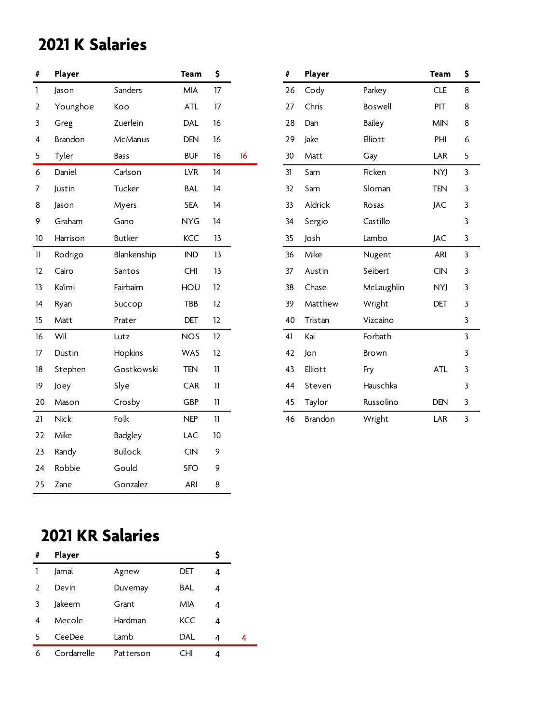## **2021 K Salaries**

| Player      |                | <b>Team</b> | \$              |    | #  | Player  |            | <b>Team</b> | \$ |
|-------------|----------------|-------------|-----------------|----|----|---------|------------|-------------|----|
| Jason       | Sanders        | MIA         | 17              |    | 26 | Cody    | Parkey     | <b>CLE</b>  | 8  |
| Younghoe    | Koo            | ATL         | 17              |    | 27 | Chris   | Boswell    | PIT         | 8  |
| Greg        | Zuerlein       | <b>DAL</b>  | 16              |    | 28 | Dan     | Bailey     | <b>MIN</b>  | 8  |
| Brandon     | <b>McManus</b> | <b>DEN</b>  | 16              |    | 29 | Jake    | Elliott    | PHI         | 6  |
| Tyler       | Bass           | <b>BUF</b>  | 16              | 16 | 30 | Matt    | Gay        | LAR         | 5  |
| Daniel      | Carlson        | <b>LVR</b>  | 14              |    | 31 | Sam     | Ficken     | <b>NYJ</b>  | 3  |
| Justin      | Tucker         | <b>BAL</b>  | 14              |    | 32 | Sam     | Sloman     | <b>TEN</b>  | 3  |
| Jason       | Myers          | <b>SEA</b>  | 14              |    | 33 | Aldrick | Rosas      | <b>JAC</b>  | 3  |
| Graham      | Gano           | <b>NYG</b>  | 14              |    | 34 | Sergio  | Castillo   |             | 3  |
| Harrison    | Butker         | KCC         | 13              |    | 35 | Josh    | Lambo      | <b>JAC</b>  | 3  |
| Rodrigo     | Blankenship    | IND         | 13              |    | 36 | Mike    | Nugent     | ARI         | 3  |
| Cairo       | Santos         | CHI         | 13              |    | 37 | Austin  | Seibert    | <b>CIN</b>  | 3  |
| Ka'imi      | Fairbairn      | HOU         | 12              |    | 38 | Chase   | McLaughlin | <b>NYJ</b>  | 3  |
| Ryan        | Succop         | <b>TBB</b>  | 12              |    | 39 | Matthew | Wright     | DET         | 3  |
| Matt        | Prater         | DET         | 12              |    | 40 | Tristan | Vizcaino   |             | 3  |
| Wil         | Lutz           | <b>NOS</b>  | 12              |    | 41 | Kai     | Forbath    |             | 3  |
| Dustin      | Hopkins        | WAS         | 12              |    | 42 | Jon     | Brown      |             | 3  |
| Stephen     | Gostkowski     | <b>TEN</b>  | $\overline{11}$ |    | 43 | Elliott | Fry        | <b>ATL</b>  | 3  |
| Joey        | Slye           | CAR         | $\overline{11}$ |    | 44 | Steven  | Hauschka   |             | 3  |
| Mason       | Crosby         | GBP         | 11              |    | 45 | Taylor  | Russolino  | <b>DEN</b>  | 3  |
| <b>Nick</b> | Folk           | <b>NEP</b>  | 11              |    | 46 | Brandon | Wright     | LAR         | 3  |
| Mike        | <b>Badgley</b> | LAC         | $10$            |    |    |         |            |             |    |
| Randy       | <b>Bullock</b> | CIN         | 9               |    |    |         |            |             |    |
| Robbie      | Gould          | <b>SFO</b>  | 9               |    |    |         |            |             |    |
| Zane        | Gonzalez       | ARI         | 8               |    |    |         |            |             |    |
|             |                |             |                 |    |    |         |            |             |    |

| #  | Player         |               | Team       | \$ |
|----|----------------|---------------|------------|----|
| 26 | Cody           | Parkey        | <b>CLE</b> | 8  |
| 27 | Chris          | Boswell       | PIT        | 8  |
| 28 | Dan            | <b>Bailey</b> | <b>MIN</b> | 8  |
| 29 | Jake           | Elliott       | PHI        | 6  |
| 30 | Matt           | Gay           | LAR        | 5  |
| 31 | Sam            | Ficken        | NYJ        | 3  |
| 32 | Sam            | Sloman        | <b>TEN</b> | 3  |
| 33 | Aldrick        | Rosas         | JAC        | 3  |
| 34 | Sergio         | Castillo      |            | 3  |
| 35 | Josh           | Lambo         | JAC        | 3  |
| 36 | Mike           | Nugent        | ARI        | 3  |
| 37 | Austin         | Seibert       | <b>CIN</b> | 3  |
| 38 | Chase          | McLaughlin    | <b>NYJ</b> | 3  |
| 39 | Matthew        | Wright        | DET        | 3  |
| 40 | Tristan        | Vizcaino      |            | 3  |
| 41 | Kai            | Forbath       |            | 3  |
| 42 | Jon            | <b>Brown</b>  |            | 3  |
| 43 | Elliott        | Fry           | ATL        | 3  |
| 44 | Steven         | Hauschka      |            | 3  |
| 45 | Taylor         | Russolino     | <b>DEN</b> | 3  |
| 46 | <b>Brandon</b> | Wright        | LAR        | 3  |

#### **2021 KR Salaries**

| #             | Player      |           |     |   |   |
|---------------|-------------|-----------|-----|---|---|
|               | Jamal       | Agnew     | DET | 4 |   |
| $\mathcal{L}$ | Devin       | Duvernay  | BAL | 4 |   |
| 3             | Jakeem      | Grant     | MIA | 4 |   |
| 4             | Mecole      | Hardman   | KCC | 4 |   |
| 5             | CeeDee      | Lamb      | DAL | 4 | 4 |
| 6             | Cordarrelle | Patterson | CHI | 4 |   |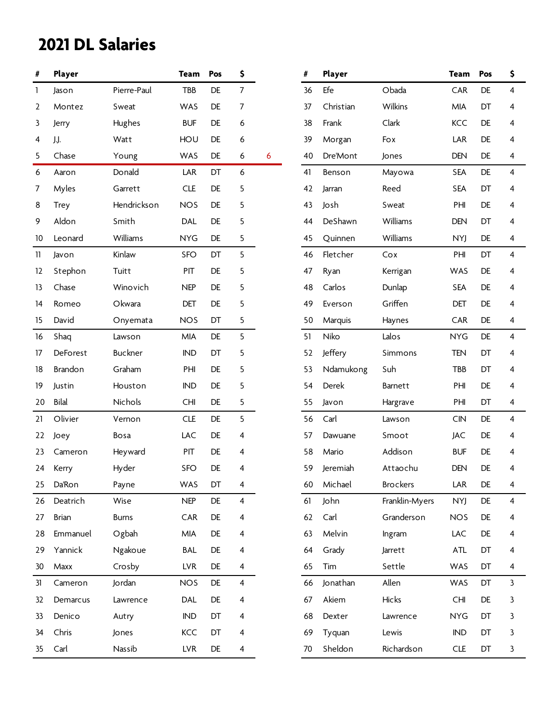| #            | Player        |                | <b>Team</b> | Pos | \$                      |   | #  | Player    |                 | <b>Team</b> | Pos | \$ |
|--------------|---------------|----------------|-------------|-----|-------------------------|---|----|-----------|-----------------|-------------|-----|----|
| $\mathbf{1}$ | Jason         | Pierre-Paul    | <b>TBB</b>  | DE  | $\overline{7}$          |   | 36 | Efe       | Obada           | CAR         | DE  | 4  |
| 2            | Montez        | Sweat          | WAS         | DE  | $\overline{7}$          |   | 37 | Christian | Wilkins         | MIA         | DT  | 4  |
| 3            | Jerry         | Hughes         | <b>BUF</b>  | DE  | 6                       |   | 38 | Frank     | Clark           | KCC         | DE  | 4  |
| 4            | J.J.          | Watt           | HOU         | DE  | 6                       |   | 39 | Morgan    | Fox             | LAR         | DE  | 4  |
| 5            | Chase         | Young          | WAS         | DE  | 6                       | 6 | 40 | Dre'Mont  | Jones           | <b>DEN</b>  | DE  | 4  |
| 6            | Aaron         | Donald         | LAR         | DT  | 6                       |   | 41 | Benson    | Mayowa          | <b>SEA</b>  | DE  | 4  |
| 7            | Myles         | Garrett        | <b>CLE</b>  | DE  | 5                       |   | 42 | Jarran    | Reed            | <b>SEA</b>  | DT  | 4  |
| 8            | <b>Trey</b>   | Hendrickson    | <b>NOS</b>  | DE  | 5                       |   | 43 | Josh      | Sweat           | PHI         | DE  | 4  |
| 9            | Aldon         | Smith          | DAL         | DE  | 5                       |   | 44 | DeShawn   | Williams        | <b>DEN</b>  | DT  | 4  |
| 10           | Leonard       | Williams       | <b>NYG</b>  | DE  | 5                       |   | 45 | Quinnen   | Williams        | NYJ         | DE  | 4  |
| 11           | Javon         | Kinlaw         | SFO         | DT  | 5                       |   | 46 | Fletcher  | Cox             | PHI         | DT  | 4  |
| 12           | Stephon       | Tuitt          | PIT         | DE  | 5                       |   | 47 | Ryan      | Kerrigan        | WAS         | DE  | 4  |
| 13           | Chase         | Winovich       | <b>NEP</b>  | DE  | 5                       |   | 48 | Carlos    | Dunlap          | <b>SEA</b>  | DE  | 4  |
| 14           | Romeo         | Okwara         | DET         | DE  | 5                       |   | 49 | Everson   | Griffen         | DET         | DE  | 4  |
| 15           | David         | Onyemata       | <b>NOS</b>  | DT  | 5                       |   | 50 | Marquis   | Haynes          | CAR         | DE  | 4  |
| 16           | Shaq          | Lawson         | MIA         | DE  | 5                       |   | 51 | Niko      | Lalos           | <b>NYG</b>  | DE  | 4  |
| 17           | DeForest      | <b>Buckner</b> | <b>IND</b>  | DT  | 5                       |   | 52 | Jeffery   | Simmons         | <b>TEN</b>  | DT  | 4  |
| 18           | Brandon       | Graham         | PHI         | DE  | 5                       |   | 53 | Ndamukong | Suh             | TBB         | DT  | 4  |
| 19           | Justin        | Houston        | <b>IND</b>  | DE  | 5                       |   | 54 | Derek     | Barnett         | PHI         | DE  | 4  |
| 20           | <b>Bilal</b>  | Nichols        | CHI         | DE  | 5                       |   | 55 | Javon     | Hargrave        | PHI         | DT  | 4  |
| 21           | Olivier       | Vernon         | <b>CLE</b>  | DE  | 5                       |   | 56 | Carl      | Lawson          | <b>CIN</b>  | DE  | 4  |
| 22           | Joey          | Bosa           | LAC         | DE  | 4                       |   | 57 | Dawuane   | Smoot           | <b>JAC</b>  | DE  | 4  |
| 23           | Cameron       | Heyward        | PIT         | DE  | 4                       |   | 58 | Mario     | Addison         | <b>BUF</b>  | DE  | 4  |
| 24           | Kerry         | Hyder          | <b>SFO</b>  | DE  | 4                       |   | 59 | Jeremiah  | Attaochu        | <b>DEN</b>  | DE  | 4  |
| 25           | <b>Da'Ron</b> | Payne          | WAS         | DT  | 4                       |   | 60 | Michael   | <b>Brockers</b> | LAR         | DE  | 4  |
| 26           | Deatrich      | Wise           | <b>NEP</b>  | DE  | $\overline{\mathbf{4}}$ |   | 61 | John      | Franklin-Myers  | <b>NYJ</b>  | DE  | 4  |
| 27           | Brian         | <b>Burns</b>   | CAR         | DE  | 4                       |   | 62 | Carl      | Granderson      | <b>NOS</b>  | DE  | 4  |
| 28           | Emmanuel      | Ogbah          | MIA         | DE  | 4                       |   | 63 | Melvin    | Ingram          | LAC         | DE  | 4  |
| 29           | Yannick       | Ngakoue        | <b>BAL</b>  | DE  | 4                       |   | 64 | Grady     | Jarrett         | <b>ATL</b>  | DT  | 4  |
| 30           | Maxx          | Crosby         | <b>LVR</b>  | DE  | 4                       |   | 65 | Tim       | Settle          | WAS         | DT  | 4  |
| 31           | Cameron       | Jordan         | <b>NOS</b>  | DE  | $\overline{4}$          |   | 66 | Jonathan  | Allen           | WAS         | DT  | 3  |
| 32           | Demarcus      | Lawrence       | DAL         | DE  | 4                       |   | 67 | Akiem     | Hicks           | <b>CHI</b>  | DE  | 3  |
| 33           | Denico        | Autry          | IND         | DT  | 4                       |   | 68 | Dexter    | Lawrence        | <b>NYG</b>  | DT  | 3  |
| 34           | Chris         | Jones          | KCC         | DT  | 4                       |   | 69 | Tyquan    | Lewis           | <b>IND</b>  | DT  | 3  |
| 35           | Carl          | Nassib         | <b>LVR</b>  | DE  | 4                       |   | 70 | Sheldon   | Richardson      | <b>CLE</b>  | DT  | 3  |

| #  | Player    |                 | <b>Team</b> | Pos       | \$ |
|----|-----------|-----------------|-------------|-----------|----|
| 36 | Efe       | Obada           | <b>CAR</b>  | <b>DE</b> | 4  |
| 37 | Christian | Wilkins         | <b>MIA</b>  | DT        | 4  |
| 38 | Frank     | Clark           | <b>KCC</b>  | <b>DE</b> | 4  |
| 39 | Morgan    | Fox             | <b>LAR</b>  | DE        | 4  |
| 40 | Dre'Mont  | Jones           | <b>DEN</b>  | <b>DE</b> | 4  |
| 41 | Benson    | Mayowa          | <b>SEA</b>  | <b>DE</b> | 4  |
| 42 | Jarran    | Reed            | <b>SEA</b>  | DT        | 4  |
| 43 | Josh      | Sweat           | PHI         | <b>DE</b> | 4  |
| 44 | DeShawn   | Williams        | <b>DEN</b>  | DT        | 4  |
| 45 | Quinnen   | Williams        | <b>NYJ</b>  | DE        | 4  |
| 46 | Fletcher  | Cox             | PHI         | DT        | 4  |
| 47 | Ryan      | Kerrigan        | WAS         | <b>DE</b> | 4  |
| 48 | Carlos    | Dunlap          | <b>SEA</b>  | <b>DE</b> | 4  |
| 49 | Everson   | Griffen         | <b>DET</b>  | DE        | 4  |
| 50 | Marquis   | Haynes          | <b>CAR</b>  | <b>DE</b> | 4  |
| 51 | Niko      | Lalos           | <b>NYG</b>  | <b>DE</b> | 4  |
| 52 | Jeffery   | Simmons         | <b>TEN</b>  | DT        | 4  |
| 53 | Ndamukong | Suh             | <b>TBB</b>  | DT        | 4  |
| 54 | Derek     | <b>Barnett</b>  | PHI         | <b>DE</b> | 4  |
| 55 | Javon     | Hargrave        | PHI         | DT        | 4  |
| 56 | Carl      | Lawson          | <b>CIN</b>  | <b>DE</b> | 4  |
| 57 | Dawuane   | Smoot           | JAC         | DE        | 4  |
| 58 | Mario     | Addison         | <b>BUF</b>  | DE        | 4  |
| 59 | Jeremiah  | Attaochu        | <b>DEN</b>  | DE        | 4  |
| 60 | Michael   | <b>Brockers</b> | LAR         | DE        | 4  |
| 61 | John      | Franklin-Myers  | <b>NYJ</b>  | DE        | 4  |
| 62 | Carl      | Granderson      | <b>NOS</b>  | DE        | 4  |
| 63 | Melvin    | Ingram          | LAC         | DE        | 4  |
| 64 | Grady     | Jarrett         | <b>ATL</b>  | DT        | 4  |
| 65 | Tim       | Settle          | WAS         | DT        | 4  |
| 66 | Jonathan  | Allen           | <b>WAS</b>  | DT        | 3  |
| 67 | Akiem     | Hicks           | <b>CHI</b>  | DE        | 3  |
| 68 | Dexter    | Lawrence        | <b>NYG</b>  | DT        | 3  |
| 69 | Tyquan    | Lewis           | IND         | DT        | 3  |
| 70 | Sheldon   | Richardson      | CLE         | DT        | 3  |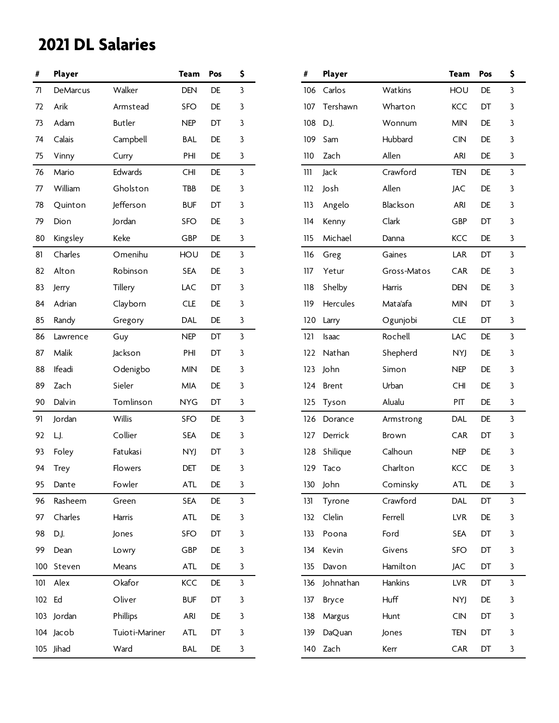| #      | Player      |                | <b>Team</b> | Pos | \$           | #   | Player        |              | <b>Team</b> | Pos | \$ |
|--------|-------------|----------------|-------------|-----|--------------|-----|---------------|--------------|-------------|-----|----|
| 71     | DeMarcus    | Walker         | <b>DEN</b>  | DE  | $\mathbf{3}$ | 106 | Carlos        | Watkins      | HOU         | DE  | 3  |
| 72     | Arik        | Armstead       | <b>SFO</b>  | DE  | 3            | 107 | Tershawn      | Wharton      | <b>KCC</b>  | DT  | 3  |
| 73     | Adam        | Butler         | <b>NEP</b>  | DT  | 3            | 108 | D.J.          | Wonnum       | <b>MIN</b>  | DE  | 3  |
| 74     | Calais      | Campbell       | <b>BAL</b>  | DE  | 3            | 109 | Sam           | Hubbard      | CIN         | DE  | 3  |
| 75     | Vinny       | Curry          | PHI         | DE  | 3            | 110 | Zach          | Allen        | ARI         | DE  | 3  |
| 76     | Mario       | Edwards        | CHI         | DE  | $\mathbf{3}$ | 111 | Jack          | Crawford     | <b>TEN</b>  | DE  | 3  |
| 77     | William     | Gholston       | TBB         | DE  | 3            | 112 | Josh          | Allen        | JAC         | DE  | 3  |
| 78     | Quinton     | Jefferson      | <b>BUF</b>  | DT  | 3            | 113 | Angelo        | Blackson     | <b>ARI</b>  | DE  | 3  |
| 79     | Dion        | Jordan         | SFO         | DE  | 3            | 114 | Kenny         | Clark        | GBP         | DT  | 3  |
| 80     | Kingsley    | Keke           | GBP         | DE  | 3            | 115 | Michael       | Danna        | KCC         | DE  | 3  |
| 81     | Charles     | Omenihu        | HOU         | DE  | $\mathbf{3}$ | 116 | Greg          | Gaines       | LAR         | DT  | 3  |
| 82     | Alton       | Robinson       | <b>SEA</b>  | DE  | 3            | 117 | Yetur         | Gross-Matos  | CAR         | DE  | 3  |
| 83     | Jerry       | Tillery        | LAC         | DT  | 3            | 118 | Shelby        | Harris       | <b>DEN</b>  | DE  | 3  |
| 84     | Adrian      | Clayborn       | <b>CLE</b>  | DE  | 3            | 119 | Hercules      | Mata'afa     | <b>MIN</b>  | DT  | 3  |
| 85     | Randy       | Gregory        | <b>DAL</b>  | DE  | 3            | 120 | Larry         | Ogunjobi     | <b>CLE</b>  | DT  | 3  |
| 86     | Lawrence    | Guy            | <b>NEP</b>  | DT  | $\mathbf{3}$ | 121 | Isaac         | Rochell      | LAC         | DE  | 3  |
| 87     | Malik       | Jackson        | PHI         | DT  | 3            | 122 | Nathan        | Shepherd     | NYJ         | DE  | 3  |
| 88     | Ifeadi      | Odenigbo       | <b>MIN</b>  | DE  | 3            | 123 | John          | Simon        | <b>NEP</b>  | DE  | 3  |
| 89     | Zach        | Sieler         | <b>MIA</b>  | DE  | 3            | 124 | <b>Brent</b>  | Urban        | <b>CHI</b>  | DE  | 3  |
| 90     | Dalvin      | Tomlinson      | <b>NYG</b>  | DT  | 3            | 125 | Tyson         | Alualu       | PIT         | DE  | 3  |
| 91     | Jordan      | Willis         | SFO         | DE  | $\mathbf{3}$ | 126 | Dorance       | Armstrong    | <b>DAL</b>  | DE  | 3  |
| 92     | LJ.         | Collier        | <b>SEA</b>  | DE  | 3            | 127 | Derrick       | <b>Brown</b> | CAR         | DT  | 3  |
| 93     | Foley       | Fatukasi       | NYJ         | DT  | 3            | 128 | Shilique      | Calhoun      | <b>NEP</b>  | DE  | 3  |
| 94     | <b>Trey</b> | <b>Flowers</b> | DET         | DE  | 3            |     | 129 Taco      | Charlton     | KCC         | DE  | 3  |
| 95     | Dante       | Fowler         | ATL         | DE  | 3            | 130 | John          | Cominsky     | ATL         | DE  | 3  |
| 96     | Rasheem     | Green          | <b>SEA</b>  | DE  | $\mathbf{3}$ | 131 | Tyrone        | Crawford     | <b>DAL</b>  | DT  | 3  |
| 97     | Charles     | Harris         | ATL         | DE  | 3            | 132 | Clelin        | Ferrell      | <b>LVR</b>  | DE  | 3  |
| 98     | D.J.        | Jones          | <b>SFO</b>  | DT  | 3            | 133 | Poona         | Ford         | <b>SEA</b>  | DT  | 3  |
| 99     | Dean        | Lowry          | GBP         | DE  | 3            | 134 | Kevin         | Givens       | <b>SFO</b>  | DT  | 3  |
|        | 100 Steven  | Means          | <b>ATL</b>  | DE  | 3            | 135 | Davon         | Hamilton     | JAC         | DT  | 3  |
| 101    | Alex        | Okafor         | KCC         | DE  | $\mathbf{3}$ | 136 | Johnathan     | Hankins      | <b>LVR</b>  | DT  | 3  |
| 102 Ed |             | Oliver         | <b>BUF</b>  | DT  | 3            | 137 | Bryce         | Huff         | <b>NYJ</b>  | DE  | 3  |
|        | 103 Jordan  | Phillips       | <b>ARI</b>  | DE  | 3            | 138 | Margus        | Hunt         | CIN         | DT  | 3  |
|        | 104 Jacob   | Tuioti-Mariner | ATL         | DT  | 3            | 139 | <b>DaQuan</b> | Jones        | <b>TEN</b>  | DT  | 3  |
|        | 105 Jihad   | Ward           | BAL         | DE  | 3            |     | 140 Zach      | Kerr         | CAR         | DT  | 3  |

| #   | Player          |             | Team       | Pos       | \$ |
|-----|-----------------|-------------|------------|-----------|----|
| 106 | Carlos          | Watkins     | HOU        | DE.       | 3  |
| 107 | Tershawn        | Wharton     | KCC        | DT        | 3  |
| 108 | D.J.            | Wonnum      | <b>MIN</b> | DE.       | 3  |
| 109 | Sam             | Hubbard     | <b>CIN</b> | DE        | 3  |
| 110 | Zach            | Allen       | ARI        | DE.       | 3  |
| 111 | Jack            | Crawford    | <b>TEN</b> | DE        | 3  |
| 112 | Josh            | Allen       | JAC        | DE.       | 3  |
| 113 | Angelo          | Blackson    | ARI        | <b>DE</b> | 3  |
| 114 | Kenny           | Clark       | GBP        | DT        | 3  |
| 115 | Michael         | Danna       | KCC        | DE        | 3  |
| 116 | Greg            | Gaines      | LAR        | DT        | 3  |
| 117 | Yetur           | Gross-Matos | <b>CAR</b> | <b>DE</b> | 3  |
| 118 | Shelby          | Harris      | <b>DEN</b> | DE.       | 3  |
| 119 | <b>Hercules</b> | Mata'afa    | <b>MIN</b> | DT        | 3  |
| 120 | Larry           | Ogunjobi    | <b>CLE</b> | DT        | 3  |
| 121 | <b>Isaac</b>    | Rochell     | LAC        | DE.       | 3  |
| 122 | Nathan          | Shepherd    | <b>NYJ</b> | DE.       | 3  |
| 123 | John            | Simon       | <b>NEP</b> | <b>DE</b> | 3  |
| 124 | <b>Brent</b>    | Urban       | <b>CHI</b> | DE.       | 3  |
| 125 | Tyson           | Alualu      | PIT        | <b>DE</b> | 3  |
| 126 | Dorance         | Armstrong   | <b>DAL</b> | DE        | 3  |
| 127 | Derrick         | Brown       | <b>CAR</b> | DT        | 3  |
| 128 | Shilique        | Calhoun     | <b>NEP</b> | DE.       | 3  |
| 129 | Taco            | Charlton    | KCC        | DE        | 3  |
| 130 | John            | Cominsky    | <b>ATL</b> | DE        | 3  |
| 131 | Tyrone          | Crawford    | DAL        | DT        | 3  |
| 132 | Clelin          | Ferrell     | <b>LVR</b> | DE        | 3  |
| 133 | Poona           | Ford        | <b>SEA</b> | DT        | 3  |
| 134 | Kevin           | Givens      | <b>SFO</b> | DT        | 3  |
| 135 | Davon           | Hamilton    | <b>JAC</b> | DT        | 3  |
| 136 | Johnathan       | Hankins     | <b>LVR</b> | DT        | 3  |
| 137 | Bryce           | Huff        | <b>NYJ</b> | DE        | 3  |
| 138 | Margus          | Hunt        | CIN        | DT        | 3  |
| 139 | DaQuan          | Jones       | TEN        | DT        | 3  |
| 140 | Zach            | Kerr        | CAR        | DT        | 3  |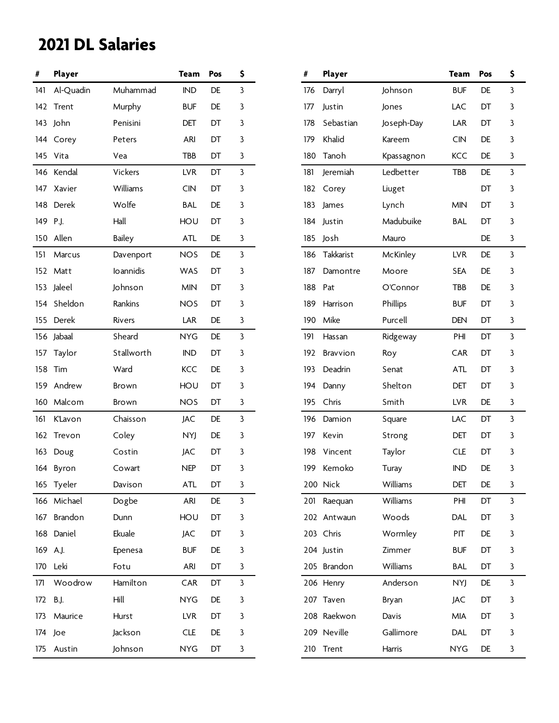| #   | Player         |               | <b>Team</b> | Pos | \$           | #   | Player          |            | <b>Team</b> | Pos | \$ |
|-----|----------------|---------------|-------------|-----|--------------|-----|-----------------|------------|-------------|-----|----|
| 141 | Al-Quadin      | Muhammad      | <b>IND</b>  | DE  | 3            | 176 | Darryl          | Johnson    | <b>BUF</b>  | DE  | 3  |
|     | 142 Trent      | Murphy        | <b>BUF</b>  | DE  | 3            | 177 | Justin          | Jones      | LAC         | DT  | 3  |
|     | 143 John       | Penisini      | DET         | DT  | 3            | 178 | Sebastian       | Joseph-Day | LAR         | DT  | 3  |
|     | 144 Corey      | Peters        | <b>ARI</b>  | DT  | 3            | 179 | Khalid          | Kareem     | <b>CIN</b>  | DE  | 3  |
|     | 145 Vita       | Vea           | TBB         | DT  | 3            | 180 | Tanoh           | Kpassagnon | <b>KCC</b>  | DE  | 3  |
|     | 146 Kendal     | Vickers       | <b>LVR</b>  | DT  | 3            | 181 | Jeremiah        | Ledbetter  | TBB         | DE  | 3  |
|     | 147 Xavier     | Williams      | <b>CIN</b>  | DT  | 3            | 182 | Corey           | Liuget     |             | DT  | 3  |
|     | 148 Derek      | Wolfe         | <b>BAL</b>  | DE  | 3            | 183 | James           | Lynch      | <b>MIN</b>  | DT  | 3  |
| 149 | P.J.           | Hall          | HOU         | DT  | 3            | 184 | Justin          | Madubuike  | <b>BAL</b>  | DT  | 3  |
|     | 150 Allen      | <b>Bailey</b> | <b>ATL</b>  | DE  | 3            | 185 | Josh            | Mauro      |             | DE  | 3  |
| 151 | Marcus         | Davenport     | <b>NOS</b>  | DE  | 3            | 186 | Takkarist       | McKinley   | <b>LVR</b>  | DE  | 3  |
|     | 152 Matt       | loannidis     | WAS         | DT  | 3            | 187 | Damontre        | Moore      | <b>SEA</b>  | DE  | 3  |
| 153 | Jaleel         | Johnson       | <b>MIN</b>  | DT  | 3            | 188 | Pat             | O'Connor   | TBB         | DE  | 3  |
|     | 154 Sheldon    | Rankins       | <b>NOS</b>  | DT  | 3            | 189 | Harrison        | Phillips   | <b>BUF</b>  | DT  | 3  |
|     | 155 Derek      | <b>Rivers</b> | LAR         | DE  | 3            | 190 | Mike            | Purcell    | <b>DEN</b>  | DT  | 3  |
|     | 156 Jabaal     | Sheard        | <b>NYG</b>  | DE  | 3            | 191 | Hassan          | Ridgeway   | PHI         | DT  | 3  |
| 157 | Taylor         | Stallworth    | <b>IND</b>  | DT  | 3            | 192 | <b>Bravvion</b> | Roy        | CAR         | DT  | 3  |
|     | 158 Tim        | Ward          | <b>KCC</b>  | DE  | 3            | 193 | Deadrin         | Senat      | <b>ATL</b>  | DT  | 3  |
|     | 159 Andrew     | <b>Brown</b>  | HOU         | DT  | 3            | 194 | Danny           | Shelton    | DET         | DT  | 3  |
|     | 160 Malcom     | Brown         | <b>NOS</b>  | DT  | 3            | 195 | Chris           | Smith      | <b>LVR</b>  | DE  | 3  |
| 161 | <b>K'Lavon</b> | Chaisson      | JAC         | DE  | 3            | 196 | Damion          | Square     | LAC         | DT  | 3  |
|     | 162 Trevon     | Coley         | NYJ         | DE  | 3            | 197 | Kevin           | Strong     | DET         | DT  | 3  |
| 163 | Doug           | Costin        | JAC         | DT  | 3            | 198 | Vincent         | Taylor     | <b>CLE</b>  | DT  | 3  |
|     | 164 Byron      | Cowart        | <b>NEP</b>  | DT  | 3            | 199 | Kemoko          | Turay      | <b>IND</b>  | DE  | 3  |
|     | 165 Tyeler     | Davison       | <b>ATL</b>  | DT  | 3            |     | 200 Nick        | Williams   | DET         | DE  | 3  |
|     | 166 Michael    | Dogbe         | <b>ARI</b>  | DE  | $\mathbf{3}$ |     | 201 Raequan     | Williams   | PHI         | DT  | 3  |
| 167 | Brandon        | Dunn          | HOU         | DT  | 3            |     | 202 Antwaun     | Woods      | DAL         | DT  | 3  |
|     | 168 Daniel     | Ekuale        | JAC         | DT  | 3            |     | 203 Chris       | Wormley    | PIT         | DE  | 3  |
|     | 169 A.J.       | Epenesa       | <b>BUF</b>  | DE  | 3            |     | 204 Justin      | Zimmer     | <b>BUF</b>  | DT  | 3  |
|     | 170 Leki       | Fotu          | ARI         | DT  | 3            |     | 205 Brandon     | Williams   | <b>BAL</b>  | DT  | 3  |
| 171 | Woodrow        | Hamilton      | CAR         | DT  | 3            |     | 206 Henry       | Anderson   | <b>NYJ</b>  | DE  | 3  |
| 172 | <b>B.J.</b>    | Hill          | <b>NYG</b>  | DE  | 3            |     | 207 Taven       | Bryan      | JAC         | DT  | 3  |
| 173 | Maurice        | Hurst         | <b>LVR</b>  | DT  | 3            |     | 208 Raekwon     | Davis      | MIA         | DT  | 3  |
|     | 174 Joe        | Jackson       | <b>CLE</b>  | DE  | 3            |     | 209 Neville     | Gallimore  | <b>DAL</b>  | DT  | 3  |
|     | 175 Austin     | Johnson       | <b>NYG</b>  | DT  | 3            |     | 210 Trent       | Harris     | <b>NYG</b>  | DE  | 3  |

| #   | Player      |            | <b>Team</b> | Pos       | \$ |
|-----|-------------|------------|-------------|-----------|----|
| 176 | Darryl      | Johnson    | <b>BUF</b>  | <b>DE</b> | 3  |
| 177 | Justin      | Jones      | LAC         | DT        | 3  |
| 178 | Sebastian   | Joseph-Day | LAR         | DT        | 3  |
| 179 | Khalid      | Kareem     | CIN         | <b>DE</b> | 3  |
| 180 | Tanoh       | Kpassagnon | KCC         | <b>DE</b> | 3  |
| 181 | Jeremiah    | Ledbetter  | TBB         | DE        | 3  |
| 182 | Corey       | Liuget     |             | DT        | 3  |
| 183 | James       | Lynch      | <b>MIN</b>  | DT        | 3  |
| 184 | Justin      | Madubuike  | <b>BAL</b>  | DT        | 3  |
| 185 | Josh        | Mauro      |             | DE        | 3  |
| 186 | Takkarist   | McKinley   | <b>LVR</b>  | DE        | 3  |
| 187 | Damontre    | Moore      | <b>SEA</b>  | <b>DE</b> | 3  |
| 188 | Pat         | O'Connor   | TBB         | <b>DE</b> | 3  |
| 189 | Harrison    | Phillips   | <b>BUF</b>  | DT        | 3  |
| 190 | Mike        | Purcell    | <b>DEN</b>  | DT        | 3  |
| 191 | Hassan      | Ridgeway   | PHI         | DT        | 3  |
| 192 | Bravvion    | Roy        | CAR         | DT        | 3  |
| 193 | Deadrin     | Senat      | <b>ATL</b>  | DT        | 3  |
| 194 | Danny       | Shelton    | DET         | DT        | 3  |
| 195 | Chris       | Smith      | <b>LVR</b>  | DE        | 3  |
| 196 | Damion      | Square     | LAC         | DT.       | 3  |
| 197 | Kevin       | Strong     | DET         | DT        | 3  |
| 198 | Vincent     | Taylor     | <b>CLE</b>  | DT        | 3  |
| 199 | Kemoko      | Turay      | <b>IND</b>  | DE        | 3  |
|     | 200 Nick    | Williams   | DET         | DE        | 3  |
| 201 | Raequan     | Williams   | PHI         | DT        | 3  |
| 202 | Antwaun     | Woods      | DAL         | DT        | 3  |
|     | 203 Chris   | Wormley    | <b>PIT</b>  | DE        | 3  |
|     | 204 Justin  | Zimmer     | <b>BUF</b>  | DT        | 3  |
|     | 205 Brandon | Williams   | <b>BAL</b>  | DT        | 3  |
|     | 206 Henry   | Anderson   | <b>NYJ</b>  | DE        | 3  |
| 207 | Taven       | Bryan      | <b>JAC</b>  | DT        | 3  |
|     | 208 Raekwon | Davis      | MIA         | DT        | 3  |
|     | 209 Neville | Gallimore  | <b>DAL</b>  | DT        | 3  |
| 210 | Trent       | Harris     | <b>NYG</b>  | DE        | 3  |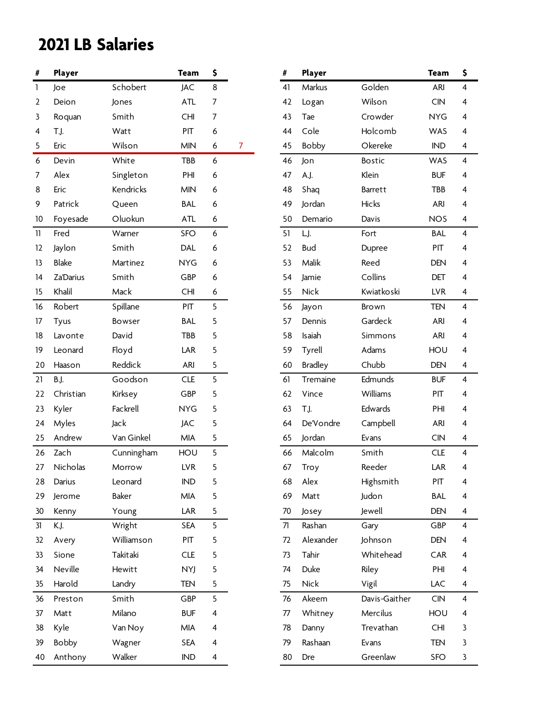| $\#$             | Player           |            | <b>Team</b> | \$             |   | #  | Player         |               | <b>Team</b>    | \$ |
|------------------|------------------|------------|-------------|----------------|---|----|----------------|---------------|----------------|----|
| 1                | Joe              | Schobert   | <b>JAC</b>  | 8              |   | 41 | Markus         | Golden        | ARI            | 4  |
| 2                | Deion            | Jones      | <b>ATL</b>  | $\overline{7}$ |   | 42 | Logan          | Wilson        | CIN            | 4  |
| 3                | Roquan           | Smith      | <b>CHI</b>  | $\overline{7}$ |   | 43 | Tae            | Crowder       | <b>NYG</b>     | 4  |
| 4                | T.J.             | Watt       | PIT         | 6              |   | 44 | Cole           | Holcomb       | WAS            | 4  |
| 5                | Eric             | Wilson     | <b>MIN</b>  | 6              | 7 | 45 | Bobby          | Okereke       | $\mathsf{IND}$ | 4  |
| $\boldsymbol{6}$ | Devin            | White      | TBB         | 6              |   | 46 | Jon            | <b>Bostic</b> | <b>WAS</b>     | 4  |
| 7                | Alex             | Singleton  | PHI         | 6              |   | 47 | A.J.           | Klein         | <b>BUF</b>     | 4  |
| 8                | Eric             | Kendricks  | <b>MIN</b>  | 6              |   | 48 | Shaq           | Barrett       | TBB            | 4  |
| 9                | Patrick          | Queen      | <b>BAL</b>  | 6              |   | 49 | Jordan         | Hicks         | ARI            | 4  |
| 10               | Foyesade         | Oluokun    | <b>ATL</b>  | 6              |   | 50 | Demario        | Davis         | <b>NOS</b>     | 4  |
| 11               | Fred             | Warner     | <b>SFO</b>  | 6              |   | 51 | LJ.            | Fort          | <b>BAL</b>     | 4  |
| 12               | Jaylon           | Smith      | <b>DAL</b>  | 6              |   | 52 | <b>Bud</b>     | Dupree        | PIT            | 4  |
| 13               | <b>Blake</b>     | Martinez   | <b>NYG</b>  | 6              |   | 53 | Malik          | Reed          | <b>DEN</b>     | 4  |
| 14               | <b>Za'Darius</b> | Smith      | GBP         | 6              |   | 54 | Jamie          | Collins       | DET            | 4  |
| 15               | Khalil           | Mack       | <b>CHI</b>  | 6              |   | 55 | Nick           | Kwiatkoski    | <b>LVR</b>     | 4  |
| 16               | Robert           | Spillane   | PIT         | 5              |   | 56 | Jayon          | Brown         | TEN            | 4  |
| 17               | Tyus             | Bowser     | <b>BAL</b>  | 5              |   | 57 | Dennis         | Gardeck       | ARI            | 4  |
| 18               | Lavonte          | David      | TBB         | 5              |   | 58 | Isaiah         | Simmons       | ARI            | 4  |
| 19               | Leonard          | Floyd      | LAR         | 5              |   | 59 | Tyrell         | Adams         | HOU            | 4  |
| 20               | Haason           | Reddick    | ARI         | 5              |   | 60 | <b>Bradley</b> | Chubb         | <b>DEN</b>     | 4  |
| 21               | B.J.             | Goodson    | <b>CLE</b>  | 5              |   | 61 | Tremaine       | Edmunds       | <b>BUF</b>     | 4  |
| 22               | Christian        | Kirksey    | GBP         | 5              |   | 62 | Vince          | Williams      | PIT            | 4  |
| 23               | Kyler            | Fackrell   | <b>NYG</b>  | 5              |   | 63 | T.J.           | Edwards       | PHI            | 4  |
| 24               | Myles            | Jack       | JAC         | 5              |   | 64 | De'Vondre      | Campbell      | ARI            | 4  |
| 25               | Andrew           | Van Ginkel | MIA         | 5              |   | 65 | Jordan         | Evans         | CIN            | 4  |
| 26               | Zach             | Cunningham | HOU         | 5              |   | 66 | Malcolm        | Smith         | CLE            | 4  |
| 27               | Nicholas         | Morrow     | <b>LVR</b>  | 5              |   | 67 | Troy           | Reeder        | LAR            | 4  |
| 28               | Darius           | Leonard    | IND         | 5              |   | 68 | Alex           | Highsmith     | PIT            | 4  |
| 29               | Jerome           | Baker      | <b>MIA</b>  | 5              |   | 69 | Matt           | Judon         | <b>BAL</b>     | 4  |
| 30               | Kenny            | Young      | LAR         | 5              |   | 70 | Josey          | Jewell        | DEN            | 4  |
| 31               | K.J.             | Wright     | <b>SEA</b>  | 5              |   | 71 | Rashan         | Gary          | GBP            | 4  |
| 32               | Avery            | Williamson | PIT         | 5              |   | 72 | Alexander      | Johnson       | <b>DEN</b>     | 4  |
| 33               | Sione            | Takitaki   | CLE         | 5              |   | 73 | Tahir          | Whitehead     | CAR            | 4  |
| 34               | Neville          | Hewitt     | <b>NYJ</b>  | 5              |   | 74 | Duke           | Riley         | PHI            | 4  |
| 35               | Harold           | Landry     | <b>TEN</b>  | 5              |   | 75 | <b>Nick</b>    | Vigil         | LAC            | 4  |
| 36               | Preston          | Smith      | GBP         | 5              |   | 76 | Akeem          | Davis-Gaither | CIN            | 4  |
| 37               | Matt             | Milano     | <b>BUF</b>  | 4              |   | 77 | Whitney        | Mercilus      | HOU            | 4  |
| 38               | Kyle             | Van Noy    | MIA         | 4              |   | 78 | Danny          | Trevathan     | CHI            | 3  |
| 39               | Bobby            | Wagner     | <b>SEA</b>  | $\overline{4}$ |   | 79 | Rashaan        | Evans         | TEN            | 3  |
| 40               | Anthony          | Walker     | <b>IND</b>  | $\overline{4}$ |   | 80 | Dre            | Greenlaw      | <b>SFO</b>     | 3  |

| #  | Player         |               | <b>Team</b> | \$             |
|----|----------------|---------------|-------------|----------------|
| 41 | Markus         | Golden        | ari         | 4              |
| 42 | Logan          | Wilson        | <b>CIN</b>  | 4              |
| 43 | Tae            | Crowder       | <b>NYG</b>  | 4              |
| 44 | Cole           | Holcomb       | <b>WAS</b>  | 4              |
| 45 | <b>Bobby</b>   | Okereke       | <b>IND</b>  | 4              |
| 46 | Jon            | Bostic        | <b>WAS</b>  | 4              |
| 47 | A.J.           | Klein         | <b>BUF</b>  | 4              |
| 48 | Shaq           | Barrett       | <b>TBB</b>  | 4              |
| 49 | Jordan         | <b>Hicks</b>  | ari         | 4              |
| 50 | Demario        | Davis         | <b>NOS</b>  | 4              |
| 51 | LJ.            | Fort          | BAL         | 4              |
| 52 | Bud            | Dupree        | PIT         | 4              |
| 53 | Malik          | Reed          | <b>DEN</b>  | 4              |
| 54 | Jamie          | Collins       | DET         | 4              |
| 55 | Nick           | Kwiatkoski    | <b>LVR</b>  | 4              |
| 56 | Jayon          | <b>Brown</b>  | <b>TEN</b>  | 4              |
| 57 | Dennis         | Gardeck       | ARI         | 4              |
| 58 | Isaiah         | Simmons       | ARI         | 4              |
| 59 | Tyrell         | Adams         | HOU         | 4              |
| 60 | <b>Bradley</b> | Chubb         | <b>DEN</b>  | 4              |
| 61 | Tremaine       | Edmunds       | <b>BUF</b>  | 4              |
| 62 | Vince          | Williams      | PIT         | 4              |
| 63 | T.J.           | Edwards       | PHI         | 4              |
| 64 | De'Vondre      | Campbell      | ari         | 4              |
| 65 | Jordan         | Evans         | <b>CIN</b>  | 4              |
| 66 | Malcolm        | Smith         | <b>CLE</b>  | 4              |
| 67 | Troy           | Reeder        | LAR         | $\overline{4}$ |
| 68 | Alex           | Highsmith     | PIT         | 4              |
| 69 | Matt           | Judon         | BAL         | $\overline{4}$ |
| 70 | Josey          | Jewell        | DEN         | 4              |
| 71 | Rashan         | Gary          | GBP         | 4              |
| 72 | Alexander      | Johnson       | <b>DEN</b>  | $\overline{4}$ |
| 73 | Tahir          | Whitehead     | CAR         | 4              |
| 74 | Duke           | Riley         | PHI         | $\overline{4}$ |
| 75 | Nick           | Vigil         | LAC         | 4              |
| 76 | Akeem          | Davis-Gaither | <b>CIN</b>  | 4              |
| 77 | Whitney        | Mercilus      | HOU         | 4              |
| 78 | Danny          | Trevathan     | CHI         | 3              |
| 79 | Rashaan        | Evans         | TEN         | 3              |
| 80 | Dre            | Greenlaw      | SFO         | 3              |
|    |                |               |             |                |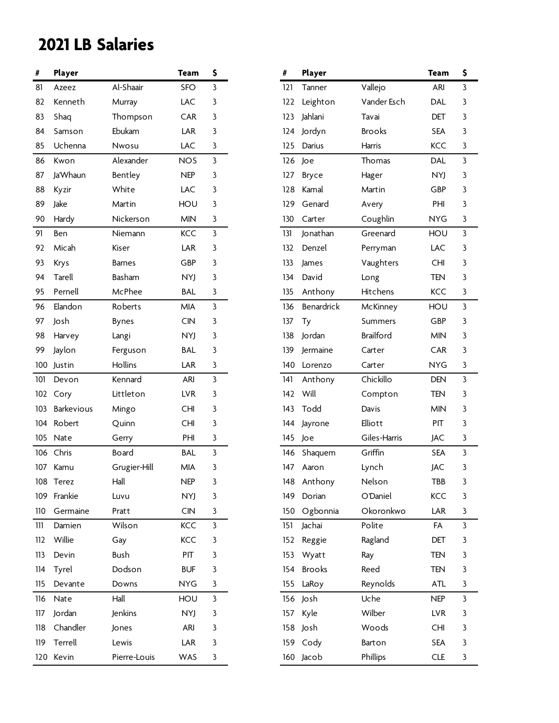| #   | Player            |               | Team       | \$ |
|-----|-------------------|---------------|------------|----|
| 81  | Azeez             | Al-Shaair     | SFO        | 3  |
| 82  | Kenneth           | Murray        | LAC        | 3  |
| 83  | Shaq              | Thompson      | <b>CAR</b> | 3  |
| 84  | Samson            | Ebukam        | LAR        | 3  |
| 85  | Uchenna           | Nwosu         | LAC        | 3  |
| 86  | Kwon              | Alexander     | <b>NOS</b> | 3  |
| 87  | Ja'Whaun          | Bentley       | <b>NEP</b> | 3  |
| 88  | Kyzir             | White         | LAC        | 3  |
| 89  | Jake              | Martin        | HOU        | 3  |
| 90  | Hardy             | Nickerson     | <b>MIN</b> | 3  |
| 91  | Ben               | Niemann       | <b>KCC</b> | 3  |
| 92  | Micah             | Kiser         | LAR        | 3  |
| 93  | <b>Krys</b>       | <b>Barnes</b> | GBP        | 3  |
| 94  | Tarell            | Basham        | NYJ        | 3  |
| 95  | Pernell           | McPhee        | <b>BAL</b> | 3  |
| 96  | Elandon           | Roberts       | <b>MIA</b> | 3  |
| 97  | Josh              | Bynes         | <b>CIN</b> | 3  |
| 98  | Harvey            | Langi         | NYJ        | 3  |
| 99  | Jaylon            | Ferguson      | BAL        | 3  |
| 100 | Justin            | Hollins       | LAR        | 3  |
| 101 | Devon             | Kennard       | ARI        | 3  |
| 102 | Cory              | Littleton     | <b>LVR</b> | 3  |
| 103 | <b>Barkevious</b> | Mingo         | <b>CHI</b> | 3  |
| 104 | Robert            | Quinn         | <b>CHI</b> | 3  |
| 105 | Nate              | Gerry         | PHI        | 3  |
| 106 | Chris             | Board         | <b>BAL</b> | 3  |
| 107 | Kamu              | Grugier-Hill  | <b>MIA</b> | 3  |
| 108 | Terez             | Hall          | NEP        | 3  |
| 109 | Frankie           | Luvu          | <b>NYJ</b> | 3  |
| 110 | Germaine          | Pratt         | <b>CIN</b> | 3  |
| 111 | Damien            | Wilson        | KCC        | 3  |
| 112 | Willie            | Gay           | KCC        | 3  |
| 113 | Devin             | Bush          | PIT        | 3  |
| 114 | Tyrel             | Dodson        | <b>BUF</b> | 3  |
| 115 | Devante           | Downs         | <b>NYG</b> | 3  |
| 116 | Nate              | Hall          | HOU        | 3  |
| 117 | Jordan            | Jenkins       | NYJ        | 3  |
| 118 | Chandler          | Jones         | ARI        | 3  |
| 119 | Terrell           | Lewis         | LAR        | 3  |
| 120 | Kevin             | Pierre-Louis  | <b>WAS</b> | 3  |

| \$ | #   | Player        |                  | <b>Team</b> | \$ |
|----|-----|---------------|------------------|-------------|----|
| 3  | 121 | Tanner        | Vallejo          | <b>ARI</b>  | 3  |
| 3  | 122 | Leighton      | Vander Esch      | DAL         | 3  |
| 3  | 123 | Jahlani       | Tavai            | DET         | 3  |
| 3  | 124 | Jordyn        | <b>Brooks</b>    | <b>SEA</b>  | 3  |
| 3  | 125 | Darius        | Harris           | <b>KCC</b>  | 3  |
| 3  | 126 | Joe           | Thomas           | DAL         | 3  |
| 3  | 127 | <b>Bryce</b>  | Hager            | <b>NYJ</b>  | 3  |
| 3  | 128 | Kamal         | Martin           | GBP         | 3  |
| 3  | 129 | Genard        | Avery            | PHI         | 3  |
| 3  | 130 | Carter        | Coughlin         | <b>NYG</b>  | 3  |
| 3  | 131 | Jonathan      | Greenard         | HOU         | 3  |
| 3  | 132 | Denzel        | Perryman         | LAC         | 3  |
| 3  | 133 | James         | Vaughters        | <b>CHI</b>  | 3  |
| 3  | 134 | David         | Long             | TEN         | 3  |
| 3  | 135 | Anthony       | Hitchens         | KCC         | 3  |
| 3  | 136 | Benardrick    | McKinney         | HOU         | 3  |
| 3  | 137 | Ty            | Summers          | GBP         | 3  |
| 3  | 138 | Jordan        | <b>Brailford</b> | <b>MIN</b>  | 3  |
| 3  | 139 | Jermaine      | Carter           | CAR         | 3  |
| 3  | 140 | Lorenzo       | Carter           | <b>NYG</b>  | 3  |
| 3  | 141 | Anthony       | Chickillo        | <b>DEN</b>  | 3  |
| 3  | 142 | Will          | Compton          | TEN         | 3  |
| 3  | 143 | Todd          | Davis            | <b>MIN</b>  | 3  |
| 3  | 144 | Jayrone       | Elliott          | PIT         | 3  |
| 3  | 145 | Joe           | Giles-Harris     | JAC         | 3  |
| 3  | 146 | Shaquem       | Griffin          | <b>SEA</b>  | 3  |
| 3  | 147 | Aaron         | Lynch            | <b>JAC</b>  | 3  |
| 3  | 148 | Anthony       | Nelson           | <b>TBB</b>  | 3  |
| 3  | 149 | Dorian        | O'Daniel         | KCC         | 3  |
| 3  | 150 | Ogbonnia      | Okoronkwo        | LAR         | 3  |
| 3  | 151 | Jachai        | Polite           | FA          | 3  |
| 3  | 152 | Reggie        | Ragland          | DET         | 3  |
| 3  | 153 | Wyatt         | Ray              | <b>TEN</b>  | 3  |
| 3  | 154 | <b>Brooks</b> | Reed             | TEN         | 3  |
| 3  | 155 | LaRoy         | Reynolds         | ATL         | 3  |
| 3  | 156 | Josh          | Uche             | <b>NEP</b>  | 3  |
| 3  | 157 | Kyle          | Wilber           | <b>LVR</b>  | 3  |
| 3  | 158 | Josh          | Woods            | CHI         | 3  |
| 3  | 159 | Cody          | Barton           | <b>SEA</b>  | 3  |
| 3  | 160 | Jacob         | Phillips         | <b>CLE</b>  | 3  |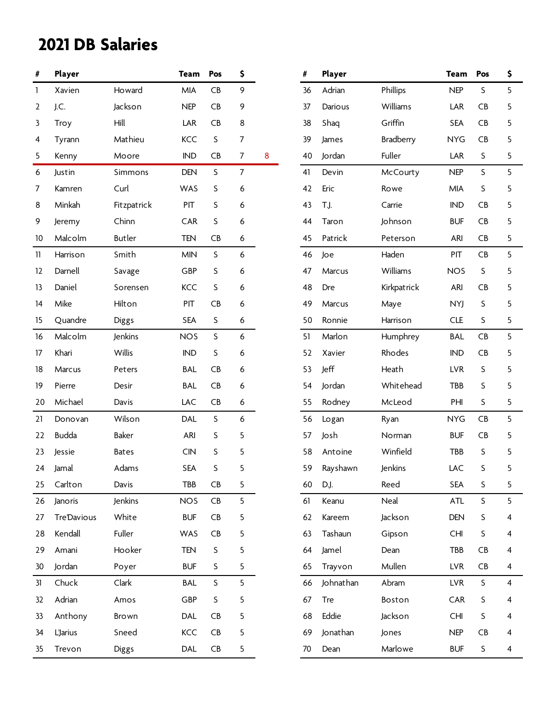| #  | Player             |               | <b>Team</b> | Pos       | \$             |                  | #  | Player     |                  | <b>Team</b> | Pos         | \$ |
|----|--------------------|---------------|-------------|-----------|----------------|------------------|----|------------|------------------|-------------|-------------|----|
| 1  | Xavien             | Howard        | <b>MIA</b>  | CB        | 9              |                  | 36 | Adrian     | Phillips         | <b>NEP</b>  | S           | 5  |
| 2  | J.C.               | Jackson       | <b>NEP</b>  | CB        | 9              |                  | 37 | Darious    | Williams         | LAR         | CB          | 5  |
| 3  | Troy               | Hill          | LAR         | CB        | 8              |                  | 38 | Shaq       | Griffin          | <b>SEA</b>  | CB          | 5  |
| 4  | Tyrann             | Mathieu       | <b>KCC</b>  | $\sf S$   | 7              |                  | 39 | James      | <b>Bradberry</b> | <b>NYG</b>  | CB          | 5  |
| 5  | Kenny              | Moore         | <b>IND</b>  | CB        | 7              | $\boldsymbol{8}$ | 40 | Jordan     | Fuller           | LAR         | $\sf S$     | 5  |
| 6  | Justin             | Simmons       | <b>DEN</b>  | S         | $\overline{7}$ |                  | 41 | Devin      | McCourty         | <b>NEP</b>  | S           | 5  |
| 7  | Kamren             | Curl          | WAS         | S         | 6              |                  | 42 | Eric       | Rowe             | <b>MIA</b>  | S           | 5  |
| 8  | Minkah             | Fitzpatrick   | PIT         | S         | 6              |                  | 43 | T.J.       | Carrie           | <b>IND</b>  | CB          | 5  |
| 9  | Jeremy             | Chinn         | CAR         | S         | 6              |                  | 44 | Taron      | Johnson          | <b>BUF</b>  | CB          | 5  |
| 10 | Malcolm            | <b>Butler</b> | TEN         | CB        | 6              |                  | 45 | Patrick    | Peterson         | <b>ARI</b>  | CB          | 5  |
| 11 | Harrison           | Smith         | <b>MIN</b>  | S         | 6              |                  | 46 | Joe        | Haden            | PIT         | CB          | 5  |
| 12 | Darnell            | Savage        | GBP         | S         | 6              |                  | 47 | Marcus     | Williams         | <b>NOS</b>  | $\mathsf S$ | 5  |
| 13 | Daniel             | Sorensen      | <b>KCC</b>  | S         | 6              |                  | 48 | Dre        | Kirkpatrick      | <b>ARI</b>  | CB          | 5  |
| 14 | Mike               | Hilton        | PIT         | <b>CB</b> | 6              |                  | 49 | Marcus     | Maye             | NYJ         | S           | 5  |
| 15 | Quandre            | Diggs         | <b>SEA</b>  | $\sf S$   | 6              |                  | 50 | Ronnie     | Harrison         | <b>CLE</b>  | S           | 5  |
| 16 | Malcolm            | Jenkins       | <b>NOS</b>  | $\sf S$   | 6              |                  | 51 | Marlon     | Humphrey         | <b>BAL</b>  | CB          | 5  |
| 17 | Khari              | Willis        | <b>IND</b>  | S         | 6              |                  | 52 | Xavier     | Rhodes           | <b>IND</b>  | CB          | 5  |
| 18 | Marcus             | Peters        | <b>BAL</b>  | CB        | 6              |                  | 53 | Jeff       | Heath            | <b>LVR</b>  | $\sf S$     | 5  |
| 19 | Pierre             | Desir         | <b>BAL</b>  | CB        | 6              |                  | 54 | Jordan     | Whitehead        | TBB         | S           | 5  |
| 20 | Michael            | Davis         | LAC         | CB        | 6              |                  | 55 | Rodney     | McLeod           | PHI         | S           | 5  |
| 21 | Donovan            | Wilson        | DAL         | $\sf S$   | 6              |                  | 56 | Logan      | Ryan             | <b>NYG</b>  | CB          | 5  |
| 22 | <b>Budda</b>       | <b>Baker</b>  | <b>ARI</b>  | S         | 5              |                  | 57 | Josh       | Norman           | <b>BUF</b>  | CB          | 5  |
| 23 | Jessie             | <b>Bates</b>  | <b>CIN</b>  | S         | 5              |                  | 58 | Antoine    | Winfield         | TBB         | S           | 5  |
| 24 | Jamal              | Adams         | <b>SEA</b>  | S         | 5              |                  | 59 | Rayshawn   | Jenkins          | LAC         | S           | 5  |
| 25 | Carlton            | Davis         | TBB         | CB        | 5              |                  | 60 | D.J.       | Reed             | <b>SEA</b>  | S           | 5  |
| 26 | Janoris            | Jenkins       | <b>NOS</b>  | CB        | 5              |                  | 61 | Keanu      | Neal             | <b>ATL</b>  | S           | 5  |
| 27 | <b>Tre'Davious</b> | White         | <b>BUF</b>  | CB        | 5              |                  | 62 | Kareem     | Jackson          | DEN         | S           | 4  |
| 28 | Kendall            | Fuller        | WAS         | CB        | 5              |                  | 63 | Tashaun    | Gipson           | <b>CHI</b>  | S           | 4  |
| 29 | Amani              | Hooker        | <b>TEN</b>  | S         | 5              |                  | 64 | Jamel      | Dean             | TBB         | CB          | 4  |
| 30 | Jordan             | Poyer         | <b>BUF</b>  | S         | 5              |                  | 65 | Trayvon    | Mullen           | <b>LVR</b>  | CB          | 4  |
| 31 | Chuck              | Clark         | <b>BAL</b>  | $\sf S$   | 5              |                  | 66 | Johnathan  | Abram            | <b>LVR</b>  | $\sf S$     | 4  |
| 32 | Adrian             | Amos          | GBP         | S         | 5              |                  | 67 | <b>Tre</b> | Boston           | CAR         | S           | 4  |
| 33 | Anthony            | Brown         | DAL         | CB        | 5              |                  | 68 | Eddie      | Jackson          | <b>CHI</b>  | S           | 4  |
| 34 | <b>L'Jarius</b>    | Sneed         | KCC         | CB        | 5              |                  | 69 | Jonathan   | Jones            | <b>NEP</b>  | CB          | 4  |
| 35 | Trevon             | Diggs         | DAL         | CB        | 5              |                  | 70 | Dean       | Marlowe          | <b>BUF</b>  | $\sf S$     | 4  |

| #  | Player    |             | <b>Team</b> | Pos | \$ |
|----|-----------|-------------|-------------|-----|----|
| 36 | Adrian    | Phillips    | <b>NEP</b>  | S   | 5  |
| 37 | Darious   | Williams    | LAR         | CB  | 5  |
| 38 | Shaq      | Griffin     | <b>SEA</b>  | CB  | 5  |
| 39 | James     | Bradberry   | <b>NYG</b>  | CB  | 5  |
| 40 | Jordan    | Fuller      | LAR         | S   | 5  |
| 41 | Devin     | McCourty    | <b>NEP</b>  | S   | 5  |
| 42 | Eric      | Rowe        | MIA         | S   | 5  |
| 43 | T.J.      | Carrie      | <b>IND</b>  | CB  | 5  |
| 44 | Taron     | Johnson     | <b>BUF</b>  | CB  | 5  |
| 45 | Patrick   | Peterson    | ARI         | CB  | 5  |
| 46 | Joe       | Haden       | PIT         | CB  | 5  |
| 47 | Marcus    | Williams    | <b>NOS</b>  | S   | 5  |
| 48 | Dre       | Kirkpatrick | ARI         | CB  | 5  |
| 49 | Marcus    | Maye        | <b>NYJ</b>  | S   | 5  |
| 50 | Ronnie    | Harrison    | <b>CLE</b>  | S   | 5  |
| 51 | Marlon    | Humphrey    | BAL         | CB  | 5  |
| 52 | Xavier    | Rhodes      | <b>IND</b>  | CB  | 5  |
| 53 | Jeff      | Heath       | <b>LVR</b>  | S   | 5  |
| 54 | Jordan    | Whitehead   | TBB         | S   | 5  |
| 55 | Rodney    | McLeod      | PHI         | S   | 5  |
| 56 | Logan     | Ryan        | <b>NYG</b>  | CB  | 5  |
| 57 | Josh      | Norman      | <b>BUF</b>  | CB  | 5  |
| 58 | Antoine   | Winfield    | TBB         | S   | 5  |
| 59 | Rayshawn  | Jenkins     | LAC         | S   | 5  |
| 60 | D.J.      | Reed        | <b>SEA</b>  | S   | 5  |
| 61 | Keanu     | Neal        | ATL         | S   | 5  |
| 62 | Kareem    | Jackson     | <b>DEN</b>  | S   | 4  |
| 63 | Tashaun   | Gipson      | <b>CHI</b>  | S   | 4  |
| 64 | Jamel     | Dean        | TBB         | CB  | 4  |
| 65 | Trayvon   | Mullen      | <b>LVR</b>  | CB  | 4  |
| 66 | Johnathan | Abram       | <b>LVR</b>  | S   | 4  |
| 67 | Tre       | Boston      | CAR         | S   | 4  |
| 68 | Eddie     | Jackson     | <b>CHI</b>  | S   | 4  |
| 69 | Jonathan  | Jones       | <b>NEP</b>  | CB  | 4  |
| 70 | Dean      | Marlowe     | <b>BUF</b>  | S   | 4  |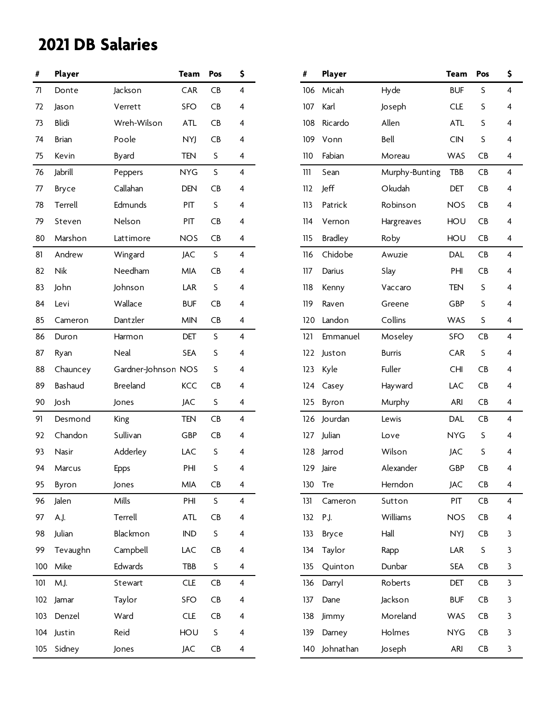| #   | Player     |                     | <b>Team</b> | Pos     | \$             | #   | Player         |                | <b>Team</b> | Pos           | \$ |
|-----|------------|---------------------|-------------|---------|----------------|-----|----------------|----------------|-------------|---------------|----|
| 71  | Donte      | Jackson             | CAR         | CB      | 4              | 106 | Micah          | Hyde           | <b>BUF</b>  | S             | 4  |
| 72  | Jason      | Verrett             | <b>SFO</b>  | CB      | 4              | 107 | Karl           | Joseph         | <b>CLE</b>  | S             | 4  |
| 73  | Blidi      | Wreh-Wilson         | <b>ATL</b>  | CB      | 4              | 108 | Ricardo        | Allen          | <b>ATL</b>  | S             | 4  |
| 74  | Brian      | Poole               | <b>NYJ</b>  | CB      | 4              | 109 | Vonn           | Bell           | CIN         | S             | 4  |
| 75  | Kevin      | Byard               | <b>TEN</b>  | S       | 4              | 110 | Fabian         | Moreau         | <b>WAS</b>  | CB            | 4  |
| 76  | Jabrill    | Peppers             | <b>NYG</b>  | $\sf S$ | 4              | 111 | Sean           | Murphy-Bunting | TBB         | CB            | 4  |
| 77  | Bryce      | Callahan            | <b>DEN</b>  | CB      | 4              | 112 | Jeff           | Okudah         | DET         | CB            | 4  |
| 78  | Terrell    | Edmunds             | PIT         | S       | 4              | 113 | Patrick        | Robinson       | <b>NOS</b>  | CB            | 4  |
| 79  | Steven     | Nelson              | PIT         | CB      | 4              | 114 | Vernon         | Hargreaves     | HOU         | CB            | 4  |
| 80  | Marshon    | Lattimore           | <b>NOS</b>  | CB      | 4              | 115 | <b>Bradley</b> | Roby           | HOU         | CB            | 4  |
| 81  | Andrew     | Wingard             | JAC         | $\sf S$ | $\overline{4}$ | 116 | Chidobe        | Awuzie         | DAL         | CB            | 4  |
| 82  | <b>Nik</b> | Needham             | <b>MIA</b>  | CB      | 4              | 117 | Darius         | Slay           | PHI         | CB            | 4  |
| 83  | John       | Johnson             | LAR         | S       | 4              | 118 | Kenny          | Vaccaro        | <b>TEN</b>  | S             | 4  |
| 84  | Levi       | Wallace             | <b>BUF</b>  | CB      | 4              | 119 | Raven          | Greene         | GBP         | S             | 4  |
| 85  | Cameron    | Dantzler            | <b>MIN</b>  | CB      | 4              | 120 | Landon         | Collins        | WAS         | S             | 4  |
| 86  | Duron      | Harmon              | <b>DET</b>  | S       | $\overline{4}$ | 121 | Emmanuel       | Moseley        | <b>SFO</b>  | CB            | 4  |
| 87  | Ryan       | Neal                | <b>SEA</b>  | S       | 4              | 122 | Juston         | <b>Burris</b>  | CAR         | S             | 4  |
| 88  | Chauncey   | Gardner-Johnson NOS |             | S       | 4              | 123 | Kyle           | Fuller         | <b>CHI</b>  | CB            | 4  |
| 89  | Bashaud    | <b>Breeland</b>     | KCC         | CB      | 4              | 124 | Casey          | Hayward        | LAC         | CB            | 4  |
| 90  | Josh       | Jones               | JAC         | S       | 4              | 125 | Byron          | Murphy         | ARI         | CB            | 4  |
| 91  | Desmond    | King                | <b>TEN</b>  | CB      | $\overline{4}$ |     | 126 Jourdan    | Lewis          | DAL         | CB            | 4  |
| 92  | Chandon    | Sullivan            | GBP         | CB      | 4              | 127 | Julian         | Love           | <b>NYG</b>  | S             | 4  |
| 93  | Nasir      | Adderley            | LAC         | S       | 4              | 128 | Jarrod         | Wilson         | JAC         | S             | 4  |
| 94  | Marcus     | Epps                | PHI         | S       | 4              | 129 | Jaire          | Alexander      | GBP         | CB            | 4  |
| 95  | Byron      | Jones               | <b>MIA</b>  | CB      | 4              | 130 | Tre            | Herndon        | JAC         | CB            | 4  |
| 96  | Jalen      | Mills               | PHI         | S       | 4              | 131 | Cameron        | Sutton         | PIT         | CB            | 4  |
| 97  | A.J.       | Terrell             | <b>ATL</b>  | CB      | 4              | 132 | P.J.           | Williams       | <b>NOS</b>  | CB            | 4  |
| 98  | Julian     | Blackmon            | <b>IND</b>  | S       | 4              | 133 | Bryce          | Hall           | <b>NYJ</b>  | CB            | 3  |
| 99  | Tevaughn   | Campbell            | LAC         | CB      | 4              | 134 | Taylor         | Rapp           | LAR         | S             | 3  |
| 100 | Mike       | Edwards             | TBB         | S       | 4              | 135 | Quinton        | Dunbar         | <b>SEA</b>  | CB            | 3  |
| 101 | M.J.       | Stewart             | <b>CLE</b>  | CB      | 4              | 136 | Darryl         | Roberts        | DET         | CB            | 3  |
| 102 | Jamar      | Taylor              | <b>SFO</b>  | CB      | 4              | 137 | Dane           | Jackson        | <b>BUF</b>  | CB            | 3  |
| 103 | Denzel     | Ward                | CLE         | CB      | 4              | 138 | Jimmy          | Moreland       | WAS         | CB            | 3  |
| 104 | Justin     | Reid                | HOU         | S       | 4              | 139 | Darney         | Holmes         | <b>NYG</b>  | CB            | 3  |
| 105 | Sidney     | Jones               | JAC         | CB      | 4              |     | 140 Johnathan  | Joseph         | ARI         | $\mathsf{CB}$ | 3  |

| #   | Player         |                | <b>Team</b> | Pos       | \$ |
|-----|----------------|----------------|-------------|-----------|----|
| 106 | Micah          | Hyde           | <b>BUF</b>  | S         | 4  |
| 107 | Karl           | Joseph         | <b>CLE</b>  | S         | 4  |
| 108 | Ricardo        | Allen          | <b>ATL</b>  | S         | 4  |
| 109 | Vonn           | Bell           | CIN         | S         | 4  |
| 110 | Fabian         | Moreau         | WAS         | <b>CB</b> | 4  |
| 111 | Sean           | Murphy-Bunting | TBB         | CB        | 4  |
| 112 | Jeff           | Okudah         | <b>DET</b>  | <b>CB</b> | 4  |
| 113 | Patrick        | Robinson       | <b>NOS</b>  | <b>CB</b> | 4  |
| 114 | Vernon         | Hargreaves     | HOU         | CB        | 4  |
| 115 | <b>Bradley</b> | Roby           | HOU         | <b>CB</b> | 4  |
| 116 | Chidobe        | Awuzie         | DAL         | CB        | 4  |
| 117 | Darius         | Slay           | PHI         | <b>CB</b> | 4  |
| 118 | Kenny          | Vaccaro        | TEN         | S         | 4  |
| 119 | Raven          | Greene         | GBP         | S         | 4  |
| 120 | Landon         | Collins        | WAS         | S         | 4  |
| 121 | Emmanuel       | Moseley        | <b>SFO</b>  | CB        | 4  |
| 122 | Juston         | <b>Burris</b>  | <b>CAR</b>  | S         | 4  |
| 123 | Kyle           | Fuller         | <b>CHI</b>  | <b>CB</b> | 4  |
| 124 | Casey          | Hayward        | LAC         | CB        | 4  |
| 125 | Byron          | Murphy         | ARI         | CB        | 4  |
| 126 | Jourdan        | Lewis          | <b>DAL</b>  | CB        | 4  |
| 127 | Julian         | Love           | <b>NYG</b>  | S         | 4  |
| 128 | Jarrod         | Wilson         | <b>JAC</b>  | S         | 4  |
| 129 | Jaire          | Alexander      | GBP         | <b>CB</b> | 4  |
| 130 | Tre            | Herndon        | <b>JAC</b>  | CB        | 4  |
| 131 | Cameron        | Sutton         | <b>PIT</b>  | CB        | 4  |
| 132 | P.J.           | Williams       | <b>NOS</b>  | CB        | 4  |
| 133 | Bryce          | Hall           | <b>NYJ</b>  | CB        | 3  |
| 134 | Taylor         | Rapp           | LAR         | S         | 3  |
| 135 | Quinton        | Dunbar         | <b>SEA</b>  | CB        | 3  |
| 136 | Darryl         | Roberts        | DET         | CB        | 3  |
| 137 | Dane           | Jackson        | <b>BUF</b>  | CB        | 3  |
| 138 | Jimmy          | Moreland       | WAS         | CB        | 3  |
| 139 | Darney         | Holmes         | <b>NYG</b>  | CB        | 3  |
| 140 | Johnathan      | Joseph         | ARI         | CB        | 3  |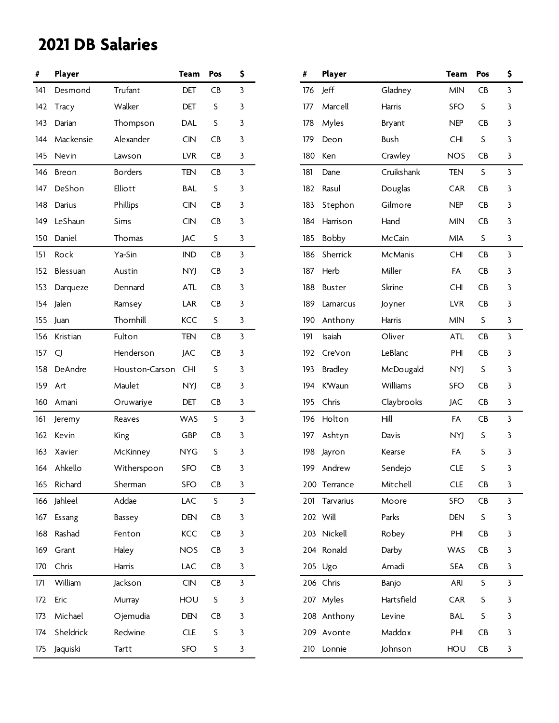| #   | Player       |                | <b>Team</b> | Pos     | \$           | #   | Player         |            | <b>Team</b> | Pos     | \$ |
|-----|--------------|----------------|-------------|---------|--------------|-----|----------------|------------|-------------|---------|----|
| 141 | Desmond      | Trufant        | DET         | CB      | 3            | 176 | Jeff           | Gladney    | <b>MIN</b>  | CB      | 3  |
| 142 | <b>Tracy</b> | Walker         | DET         | S       | 3            | 177 | Marcell        | Harris     | <b>SFO</b>  | S       | 3  |
| 143 | Darian       | Thompson       | <b>DAL</b>  | S       | 3            | 178 | Myles          | Bryant     | <b>NEP</b>  | CB      | 3  |
| 144 | Mackensie    | Alexander      | <b>CIN</b>  | CB      | 3            | 179 | Deon           | Bush       | <b>CHI</b>  | S       | 3  |
| 145 | Nevin        | Lawson         | <b>LVR</b>  | CB      | 3            | 180 | Ken            | Crawley    | <b>NOS</b>  | CB      | 3  |
| 146 | Breon        | <b>Borders</b> | <b>TEN</b>  | CB      | $\mathbf{3}$ | 181 | Dane           | Cruikshank | TEN         | S       | 3  |
| 147 | DeShon       | Elliott        | <b>BAL</b>  | S       | 3            | 182 | Rasul          | Douglas    | <b>CAR</b>  | CB      | 3  |
| 148 | Darius       | Phillips       | <b>CIN</b>  | CB      | 3            | 183 | Stephon        | Gilmore    | <b>NEP</b>  | CB      | 3  |
| 149 | LeShaun      | Sims           | <b>CIN</b>  | CB      | 3            | 184 | Harrison       | Hand       | <b>MIN</b>  | CB      | 3  |
| 150 | Daniel       | Thomas         | JAC         | S       | 3            | 185 | <b>Bobby</b>   | McCain     | MIA         | S       | 3  |
| 151 | Rock         | Ya-Sin         | <b>IND</b>  | CB      | 3            | 186 | Sherrick       | McManis    | <b>CHI</b>  | CB      | 3  |
| 152 | Blessuan     | Austin         | NYJ         | CB      | 3            | 187 | Herb           | Miller     | FA          | CB      | 3  |
| 153 | Darqueze     | Dennard        | <b>ATL</b>  | CB      | 3            | 188 | <b>Buster</b>  | Skrine     | <b>CHI</b>  | CB      | 3  |
| 154 | Jalen        | Ramsey         | LAR         | CB      | 3            | 189 | Lamarcus       | Joyner     | <b>LVR</b>  | CB      | 3  |
| 155 | Juan         | Thornhill      | <b>KCC</b>  | $\sf S$ | 3            | 190 | Anthony        | Harris     | <b>MIN</b>  | S       | 3  |
| 156 | Kristian     | Fulton         | <b>TEN</b>  | CB      | $\mathbf{3}$ | 191 | Isaiah         | Oliver     | <b>ATL</b>  | CB      | 3  |
| 157 | CJ           | Henderson      | <b>JAC</b>  | CB      | 3            | 192 | Cre'von        | LeBlanc    | PHI         | CB      | 3  |
| 158 | DeAndre      | Houston-Carson | <b>CHI</b>  | S       | 3            | 193 | <b>Bradley</b> | McDougald  | NYJ         | S       | 3  |
| 159 | Art          | Maulet         | <b>NYJ</b>  | CB      | 3            | 194 | K'Waun         | Williams   | <b>SFO</b>  | CB      | 3  |
| 160 | Amani        | Oruwariye      | DET         | CB      | 3            | 195 | Chris          | Claybrooks | JAC         | CB      | 3  |
| 161 | Jeremy       | Reaves         | WAS         | S       | $\mathbf{3}$ | 196 | Holton         | Hill       | FA          | CB      | 3  |
|     | 162 Kevin    | King           | GBP         | CB      | 3            | 197 | Ashtyn         | Davis      | NYJ         | S       | 3  |
| 163 | Xavier       | McKinney       | <b>NYG</b>  | S       | 3            | 198 | Jayron         | Kearse     | FA          | S       | 3  |
| 164 | Ahkello      | Witherspoon    | <b>SFO</b>  | CB      | 3            | 199 | Andrew         | Sendejo    | <b>CLE</b>  | S       | 3  |
| 165 | Richard      | Sherman        | <b>SFO</b>  | CB      | 3            |     | 200 Terrance   | Mitchell   | <b>CLE</b>  | CB      | 3  |
|     | 166 Jahleel  | Addae          | LAC         | S       | 3            |     | 201 Tarvarius  | Moore      | <b>SFO</b>  | CB      | 3  |
| 167 | Essang       | Bassey         | DEN         | CB      | 3            |     | 202 Will       | Parks      | DEN         | S       | 3  |
| 168 | Rashad       | Fenton         | KCC         | CB      | 3            |     | 203 Nickell    | Robey      | PHI         | CB      | 3  |
| 169 | Grant        | Haley          | <b>NOS</b>  | CB      | 3            |     | 204 Ronald     | Darby      | WAS         | CB      | 3  |
| 170 | Chris        | Harris         | LAC         | CB      | 3            |     | 205 Ugo        | Amadi      | <b>SEA</b>  | CB      | 3  |
| 171 | William      | Jackson        | <b>CIN</b>  | CB      | $\mathbf{3}$ |     | 206 Chris      | Banjo      | <b>ARI</b>  | S       | 3  |
| 172 | Eric         | Murray         | HOU         | S       | 3            |     | 207 Myles      | Hartsfield | CAR         | $\sf S$ | 3  |
| 173 | Michael      | Ojemudia       | DEN         | CB      | 3            |     | 208 Anthony    | Levine     | <b>BAL</b>  | S       | 3  |
| 174 | Sheldrick    | Redwine        | <b>CLE</b>  | $\sf S$ | 3            |     | 209 Avonte     | Maddox     | PHI         | CB      | 3  |
| 175 | Jaquiski     | Tartt          | SFO         | S       | 3            |     | 210 Lonnie     | Johnson    | HOU         | CB      | 3  |

| #   | Player         |                | <b>Team</b> | Pos       | \$ |
|-----|----------------|----------------|-------------|-----------|----|
| 176 | Jeff           | Gladney        | <b>MIN</b>  | CB        | 3  |
| 177 | Marcell        | Harris         | <b>SFO</b>  | S         | 3  |
| 178 | Myles          | Bryant         | <b>NEP</b>  | CB        | 3  |
| 179 | Deon           | Bush           | <b>CHI</b>  | S         | 3  |
| 180 | Ken            | Crawley        | <b>NOS</b>  | CB        | 3  |
| 181 | Dane           | Cruikshank     | <b>TEN</b>  | S         | 3  |
| 182 | Rasul          | Douglas        | CAR         | CB        | 3  |
| 183 | Stephon        | Gilmore        | <b>NEP</b>  | <b>CB</b> | 3  |
| 184 | Harrison       | Hand           | <b>MIN</b>  | CB        | 3  |
| 185 | <b>Bobby</b>   | McCain         | MIA         | S         | 3  |
| 186 | Sherrick       | <b>McManis</b> | <b>CHI</b>  | CB        | 3  |
| 187 | Herb           | Miller         | FA          | CB        | 3  |
| 188 | <b>Buster</b>  | Skrine         | <b>CHI</b>  | CB        | 3  |
| 189 | Lamarcus       | Joyner         | <b>LVR</b>  | <b>CB</b> | 3  |
| 190 | Anthony        | <b>Harris</b>  | <b>MIN</b>  | S         | 3  |
| 191 | Isaiah         | Oliver         | <b>ATL</b>  | CB        | 3  |
| 192 | Cre'von        | LeBlanc        | PHI         | CB        | 3  |
| 193 | <b>Bradley</b> | McDougald      | NYJ         | S         | 3  |
| 194 | K'Waun         | Williams       | SFO         | CB        | 3  |
| 195 | Chris          | Claybrooks     | JAC         | CB        | 3  |
| 196 | Holton         | Hill           | FA          | CB        | 3  |
| 197 | Ashtyn         | Davis          | NYJ         | S         | 3  |
| 198 | Jayron         | Kearse         | FA          | S         | 3  |
| 199 | Andrew         | Sendejo        | <b>CLE</b>  | S         | 3  |
|     | 200 Terrance   | Mitchell       | <b>CLE</b>  | CB        | 3  |
| 201 | Tarvarius      | Moore          | SFO         | CB        | 3  |
|     | 202 Will       | Parks          | DEN         | S         | 3  |
| 203 | Nickell        | Robey          | PHI         | CB        | 3  |
| 204 | Ronald         | Darby          | WAS         | CB        | 3  |
| 205 | Ugo            | Amadi          | SEA         | CB        | 3  |
|     | 206 Chris      | Banjo          | <b>ARI</b>  | S         | 3  |
| 207 | Myles          | Hartsfield     | CAR         | S         | 3  |
| 208 | Anthony        | Levine         | <b>BAL</b>  | S         | 3  |
| 209 | Avonte         | Maddox         | PHI         | CB        | 3  |
| 210 | Lonnie         | Johnson        | HOU         | CB        | 3  |